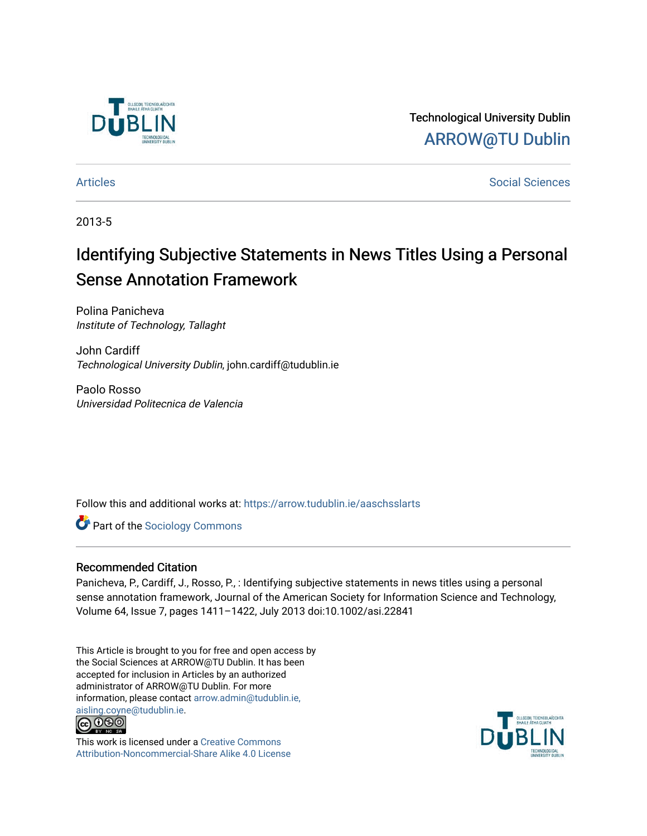

Technological University Dublin [ARROW@TU Dublin](https://arrow.tudublin.ie/) 

[Articles](https://arrow.tudublin.ie/aaschsslarts) **Social Sciences** [Social Sciences](https://arrow.tudublin.ie/aaschss) **Social Sciences** 

2013-5

# Identifying Subjective Statements in News Titles Using a Personal Sense Annotation Framework

Polina Panicheva Institute of Technology, Tallaght

John Cardiff Technological University Dublin, john.cardiff@tudublin.ie

Paolo Rosso Universidad Politecnica de Valencia

Follow this and additional works at: [https://arrow.tudublin.ie/aaschsslarts](https://arrow.tudublin.ie/aaschsslarts?utm_source=arrow.tudublin.ie%2Faaschsslarts%2F55&utm_medium=PDF&utm_campaign=PDFCoverPages)

**Part of the [Sociology Commons](http://network.bepress.com/hgg/discipline/416?utm_source=arrow.tudublin.ie%2Faaschsslarts%2F55&utm_medium=PDF&utm_campaign=PDFCoverPages)** 

#### Recommended Citation

Panicheva, P., Cardiff, J., Rosso, P., : Identifying subjective statements in news titles using a personal sense annotation framework, Journal of the American Society for Information Science and Technology, Volume 64, Issue 7, pages 1411–1422, July 2013 doi:10.1002/asi.22841

This Article is brought to you for free and open access by the Social Sciences at ARROW@TU Dublin. It has been accepted for inclusion in Articles by an authorized administrator of ARROW@TU Dublin. For more information, please contact [arrow.admin@tudublin.ie,](mailto:arrow.admin@tudublin.ie,%20aisling.coyne@tudublin.ie)  [aisling.coyne@tudublin.ie.](mailto:arrow.admin@tudublin.ie,%20aisling.coyne@tudublin.ie)<br>@009



This work is licensed under a [Creative Commons](http://creativecommons.org/licenses/by-nc-sa/4.0/) [Attribution-Noncommercial-Share Alike 4.0 License](http://creativecommons.org/licenses/by-nc-sa/4.0/)

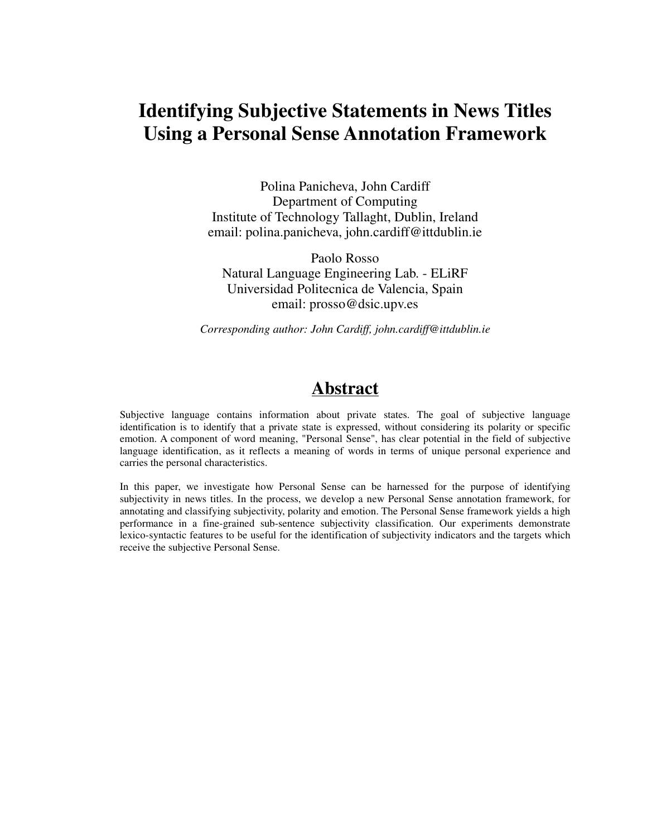# **Identifying Subjective Statements in News Titles Using a Personal Sense Annotation Framework**

Polina Panicheva, John Cardiff Department of Computing Institute of Technology Tallaght, Dublin, Ireland email: polina.panicheva, john.cardiff@ittdublin.ie

Paolo Rosso Natural Language Engineering Lab. - ELiRF Universidad Politecnica de Valencia, Spain email: prosso@dsic.upv.es

*Corresponding author: John Cardiff, john.cardiff@ittdublin.ie* 

# **Abstract**

Subjective language contains information about private states. The goal of subjective language identification is to identify that a private state is expressed, without considering its polarity or specific emotion. A component of word meaning, "Personal Sense", has clear potential in the field of subjective language identification, as it reflects a meaning of words in terms of unique personal experience and carries the personal characteristics.

In this paper, we investigate how Personal Sense can be harnessed for the purpose of identifying subjectivity in news titles. In the process, we develop a new Personal Sense annotation framework, for annotating and classifying subjectivity, polarity and emotion. The Personal Sense framework yields a high performance in a fine-grained sub-sentence subjectivity classification. Our experiments demonstrate lexico-syntactic features to be useful for the identification of subjectivity indicators and the targets which receive the subjective Personal Sense.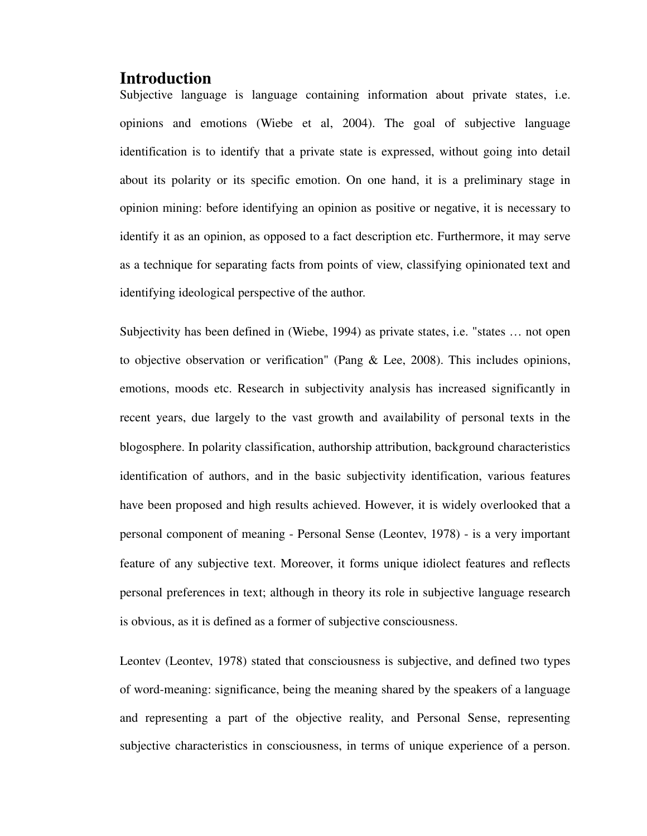### **Introduction**

Subjective language is language containing information about private states, i.e. opinions and emotions (Wiebe et al, 2004). The goal of subjective language identification is to identify that a private state is expressed, without going into detail about its polarity or its specific emotion. On one hand, it is a preliminary stage in opinion mining: before identifying an opinion as positive or negative, it is necessary to identify it as an opinion, as opposed to a fact description etc. Furthermore, it may serve as a technique for separating facts from points of view, classifying opinionated text and identifying ideological perspective of the author.

Subjectivity has been defined in (Wiebe, 1994) as private states, i.e. "states … not open to objective observation or verification" (Pang & Lee, 2008). This includes opinions, emotions, moods etc. Research in subjectivity analysis has increased significantly in recent years, due largely to the vast growth and availability of personal texts in the blogosphere. In polarity classification, authorship attribution, background characteristics identification of authors, and in the basic subjectivity identification, various features have been proposed and high results achieved. However, it is widely overlooked that a personal component of meaning - Personal Sense (Leontev, 1978) - is a very important feature of any subjective text. Moreover, it forms unique idiolect features and reflects personal preferences in text; although in theory its role in subjective language research is obvious, as it is defined as a former of subjective consciousness.

Leontev (Leontev, 1978) stated that consciousness is subjective, and defined two types of word-meaning: significance, being the meaning shared by the speakers of a language and representing a part of the objective reality, and Personal Sense, representing subjective characteristics in consciousness, in terms of unique experience of a person.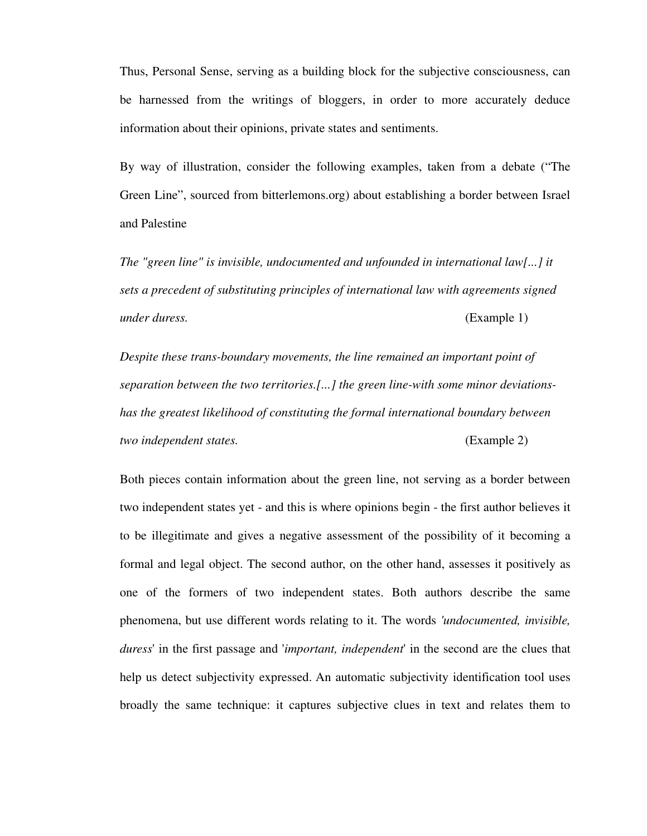Thus, Personal Sense, serving as a building block for the subjective consciousness, can be harnessed from the writings of bloggers, in order to more accurately deduce information about their opinions, private states and sentiments.

By way of illustration, consider the following examples, taken from a debate ("The Green Line", sourced from bitterlemons.org) about establishing a border between Israel and Palestine

*The "green line" is invisible, undocumented and unfounded in international law[...] it sets a precedent of substituting principles of international law with agreements signed under duress.* (Example 1)

*Despite these trans-boundary movements, the line remained an important point of separation between the two territories.[...] the green line-with some minor deviationshas the greatest likelihood of constituting the formal international boundary between two independent states.* (Example 2)

Both pieces contain information about the green line, not serving as a border between two independent states yet - and this is where opinions begin - the first author believes it to be illegitimate and gives a negative assessment of the possibility of it becoming a formal and legal object. The second author, on the other hand, assesses it positively as one of the formers of two independent states. Both authors describe the same phenomena, but use different words relating to it. The words *'undocumented, invisible, duress*' in the first passage and '*important, independent*' in the second are the clues that help us detect subjectivity expressed. An automatic subjectivity identification tool uses broadly the same technique: it captures subjective clues in text and relates them to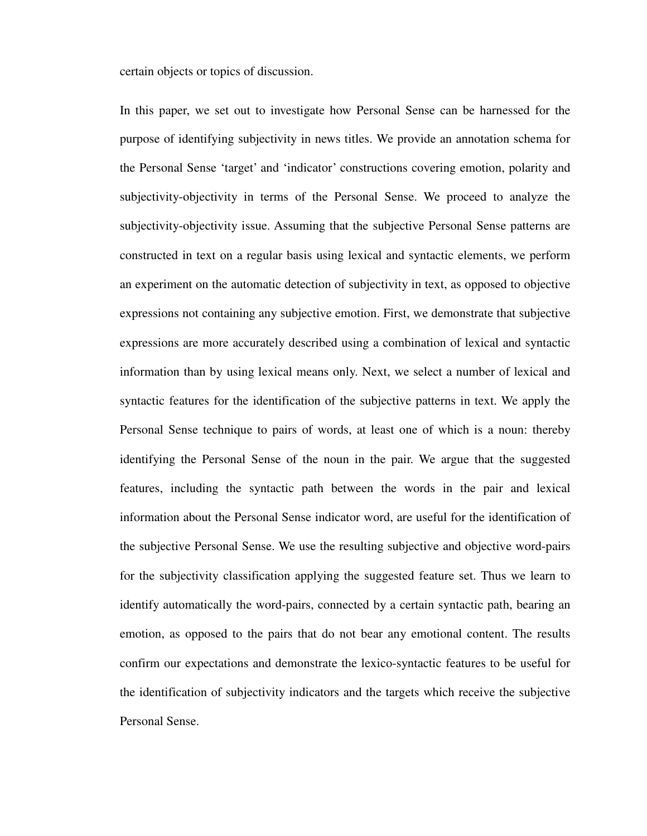certain objects or topics of discussion.

In this paper, we set out to investigate how Personal Sense can be harnessed for the purpose of identifying subjectivity in news titles. We provide an annotation schema for the Personal Sense 'target' and 'indicator' constructions covering emotion, polarity and subjectivity-objectivity in terms of the Personal Sense. We proceed to analyze the subjectivity-objectivity issue. Assuming that the subjective Personal Sense patterns are constructed in text on a regular basis using lexical and syntactic elements, we perform an experiment on the automatic detection of subjectivity in text, as opposed to objective expressions not containing any subjective emotion. First, we demonstrate that subjective expressions are more accurately described using a combination of lexical and syntactic information than by using lexical means only. Next, we select a number of lexical and syntactic features for the identification of the subjective patterns in text. We apply the Personal Sense technique to pairs of words, at least one of which is a noun: thereby identifying the Personal Sense of the noun in the pair. We argue that the suggested features, including the syntactic path between the words in the pair and lexical information about the Personal Sense indicator word, are useful for the identification of the subjective Personal Sense. We use the resulting subjective and objective word-pairs for the subjectivity classification applying the suggested feature set. Thus we learn to identify automatically the word-pairs, connected by a certain syntactic path, bearing an emotion, as opposed to the pairs that do not bear any emotional content. The results confirm our expectations and demonstrate the lexico-syntactic features to be useful for the identification of subjectivity indicators and the targets which receive the subjective Personal Sense.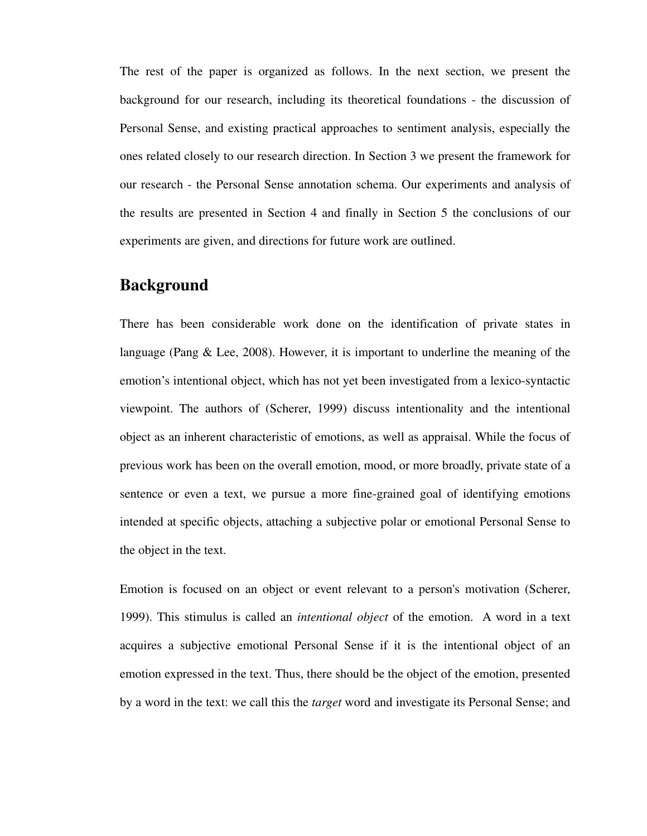The rest of the paper is organized as follows. In the next section, we present the background for our research, including its theoretical foundations - the discussion of Personal Sense, and existing practical approaches to sentiment analysis, especially the ones related closely to our research direction. In Section 3 we present the framework for our research - the Personal Sense annotation schema. Our experiments and analysis of the results are presented in Section 4 and finally in Section 5 the conclusions of our experiments are given, and directions for future work are outlined.

# **Background**

There has been considerable work done on the identification of private states in language (Pang & Lee, 2008). However, it is important to underline the meaning of the emotion's intentional object, which has not yet been investigated from a lexico-syntactic viewpoint. The authors of (Scherer, 1999) discuss intentionality and the intentional object as an inherent characteristic of emotions, as well as appraisal. While the focus of previous work has been on the overall emotion, mood, or more broadly, private state of a sentence or even a text, we pursue a more fine-grained goal of identifying emotions intended at specific objects, attaching a subjective polar or emotional Personal Sense to the object in the text.

Emotion is focused on an object or event relevant to a person's motivation (Scherer, 1999). This stimulus is called an *intentional object* of the emotion. A word in a text acquires a subjective emotional Personal Sense if it is the intentional object of an emotion expressed in the text. Thus, there should be the object of the emotion, presented by a word in the text: we call this the *target* word and investigate its Personal Sense; and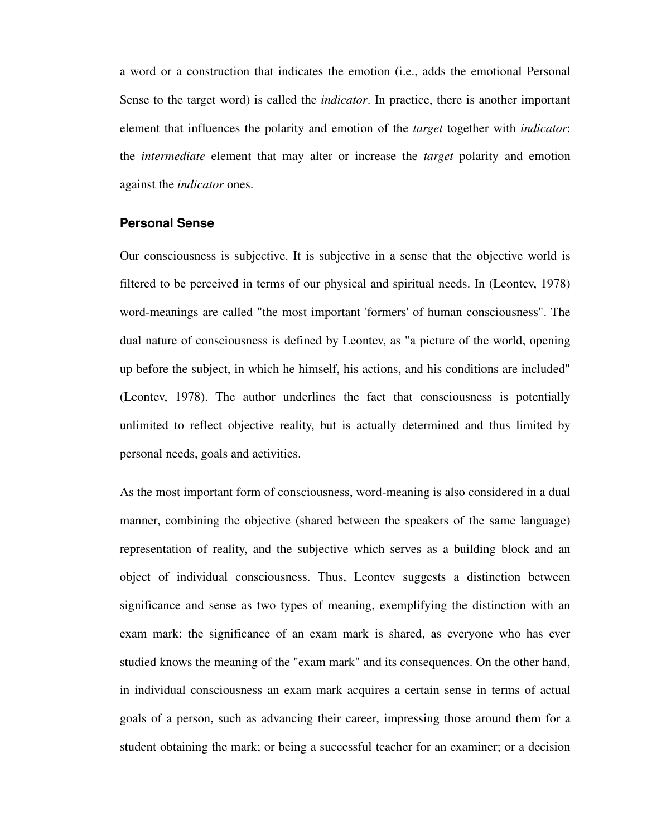a word or a construction that indicates the emotion (i.e., adds the emotional Personal Sense to the target word) is called the *indicator*. In practice, there is another important element that influences the polarity and emotion of the *target* together with *indicator*: the *intermediate* element that may alter or increase the *target* polarity and emotion against the *indicator* ones.

#### **Personal Sense**

Our consciousness is subjective. It is subjective in a sense that the objective world is filtered to be perceived in terms of our physical and spiritual needs. In (Leontev, 1978) word-meanings are called "the most important 'formers' of human consciousness". The dual nature of consciousness is defined by Leontev, as "a picture of the world, opening up before the subject, in which he himself, his actions, and his conditions are included" (Leontev, 1978). The author underlines the fact that consciousness is potentially unlimited to reflect objective reality, but is actually determined and thus limited by personal needs, goals and activities.

As the most important form of consciousness, word-meaning is also considered in a dual manner, combining the objective (shared between the speakers of the same language) representation of reality, and the subjective which serves as a building block and an object of individual consciousness. Thus, Leontev suggests a distinction between significance and sense as two types of meaning, exemplifying the distinction with an exam mark: the significance of an exam mark is shared, as everyone who has ever studied knows the meaning of the "exam mark" and its consequences. On the other hand, in individual consciousness an exam mark acquires a certain sense in terms of actual goals of a person, such as advancing their career, impressing those around them for a student obtaining the mark; or being a successful teacher for an examiner; or a decision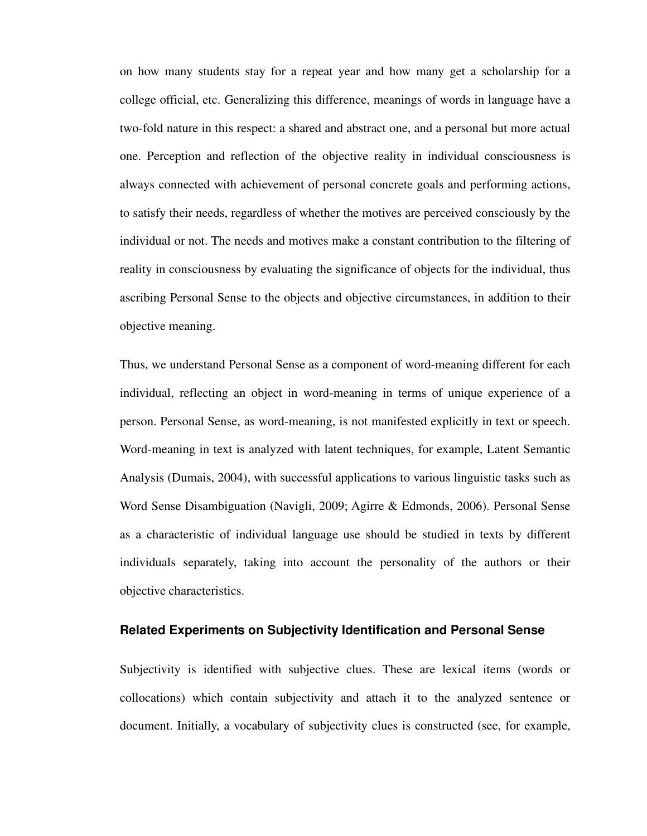on how many students stay for a repeat year and how many get a scholarship for a college official, etc. Generalizing this difference, meanings of words in language have a two-fold nature in this respect: a shared and abstract one, and a personal but more actual one. Perception and reflection of the objective reality in individual consciousness is always connected with achievement of personal concrete goals and performing actions, to satisfy their needs, regardless of whether the motives are perceived consciously by the individual or not. The needs and motives make a constant contribution to the filtering of reality in consciousness by evaluating the significance of objects for the individual, thus ascribing Personal Sense to the objects and objective circumstances, in addition to their objective meaning.

Thus, we understand Personal Sense as a component of word-meaning different for each individual, reflecting an object in word-meaning in terms of unique experience of a person. Personal Sense, as word-meaning, is not manifested explicitly in text or speech. Word-meaning in text is analyzed with latent techniques, for example, Latent Semantic Analysis (Dumais, 2004), with successful applications to various linguistic tasks such as Word Sense Disambiguation (Navigli, 2009; Agirre & Edmonds, 2006). Personal Sense as a characteristic of individual language use should be studied in texts by different individuals separately, taking into account the personality of the authors or their objective characteristics.

#### **Related Experiments on Subjectivity Identification and Personal Sense**

Subjectivity is identified with subjective clues. These are lexical items (words or collocations) which contain subjectivity and attach it to the analyzed sentence or document. Initially, a vocabulary of subjectivity clues is constructed (see, for example,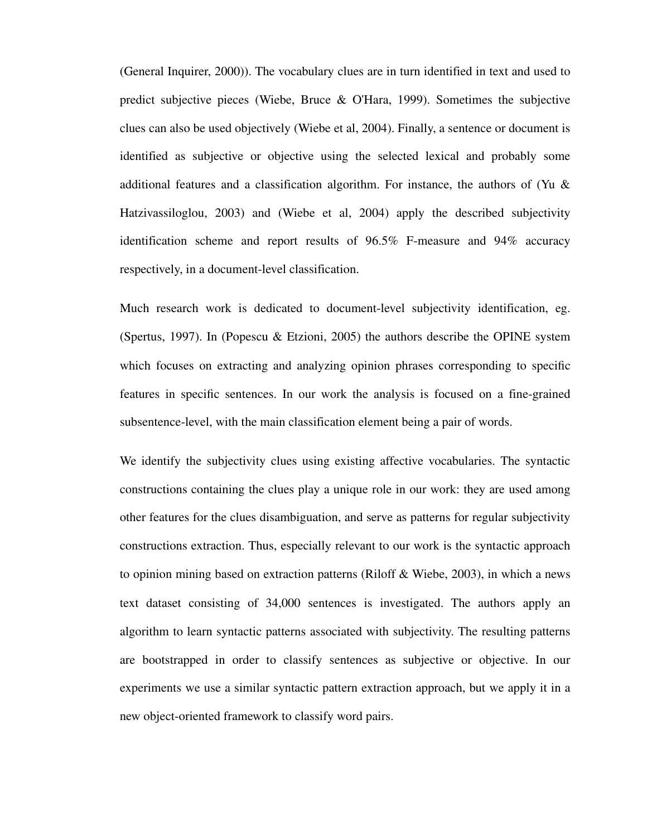(General Inquirer, 2000)). The vocabulary clues are in turn identified in text and used to predict subjective pieces (Wiebe, Bruce & O'Hara, 1999). Sometimes the subjective clues can also be used objectively (Wiebe et al, 2004). Finally, a sentence or document is identified as subjective or objective using the selected lexical and probably some additional features and a classification algorithm. For instance, the authors of (Yu & Hatzivassiloglou, 2003) and (Wiebe et al, 2004) apply the described subjectivity identification scheme and report results of 96.5% F-measure and 94% accuracy respectively, in a document-level classification.

Much research work is dedicated to document-level subjectivity identification, eg. (Spertus, 1997). In (Popescu & Etzioni, 2005) the authors describe the OPINE system which focuses on extracting and analyzing opinion phrases corresponding to specific features in specific sentences. In our work the analysis is focused on a fine-grained subsentence-level, with the main classification element being a pair of words.

We identify the subjectivity clues using existing affective vocabularies. The syntactic constructions containing the clues play a unique role in our work: they are used among other features for the clues disambiguation, and serve as patterns for regular subjectivity constructions extraction. Thus, especially relevant to our work is the syntactic approach to opinion mining based on extraction patterns (Riloff & Wiebe, 2003), in which a news text dataset consisting of 34,000 sentences is investigated. The authors apply an algorithm to learn syntactic patterns associated with subjectivity. The resulting patterns are bootstrapped in order to classify sentences as subjective or objective. In our experiments we use a similar syntactic pattern extraction approach, but we apply it in a new object-oriented framework to classify word pairs.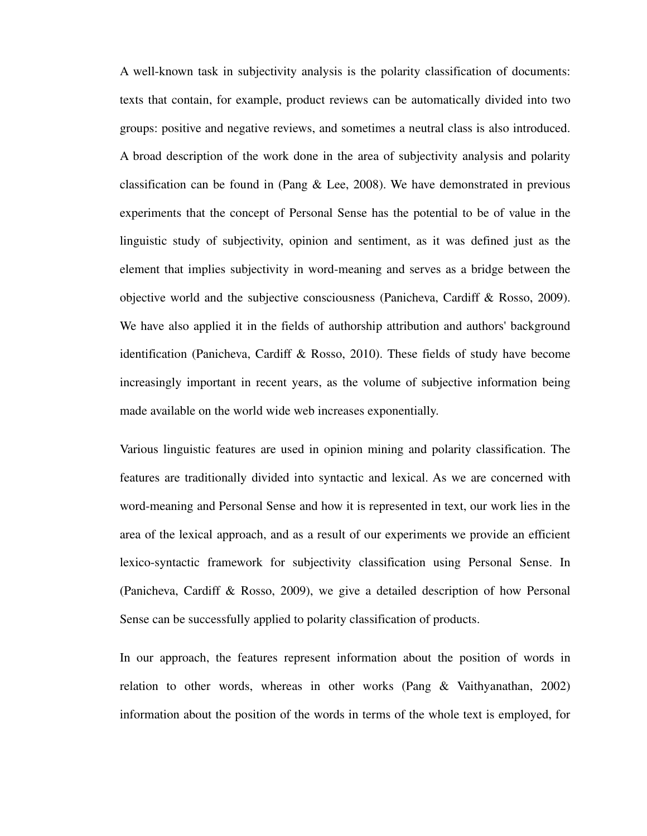A well-known task in subjectivity analysis is the polarity classification of documents: texts that contain, for example, product reviews can be automatically divided into two groups: positive and negative reviews, and sometimes a neutral class is also introduced. A broad description of the work done in the area of subjectivity analysis and polarity classification can be found in (Pang & Lee, 2008). We have demonstrated in previous experiments that the concept of Personal Sense has the potential to be of value in the linguistic study of subjectivity, opinion and sentiment, as it was defined just as the element that implies subjectivity in word-meaning and serves as a bridge between the objective world and the subjective consciousness (Panicheva, Cardiff & Rosso, 2009). We have also applied it in the fields of authorship attribution and authors' background identification (Panicheva, Cardiff & Rosso, 2010). These fields of study have become increasingly important in recent years, as the volume of subjective information being made available on the world wide web increases exponentially.

Various linguistic features are used in opinion mining and polarity classification. The features are traditionally divided into syntactic and lexical. As we are concerned with word-meaning and Personal Sense and how it is represented in text, our work lies in the area of the lexical approach, and as a result of our experiments we provide an efficient lexico-syntactic framework for subjectivity classification using Personal Sense. In (Panicheva, Cardiff & Rosso, 2009), we give a detailed description of how Personal Sense can be successfully applied to polarity classification of products.

In our approach, the features represent information about the position of words in relation to other words, whereas in other works (Pang & Vaithyanathan, 2002) information about the position of the words in terms of the whole text is employed, for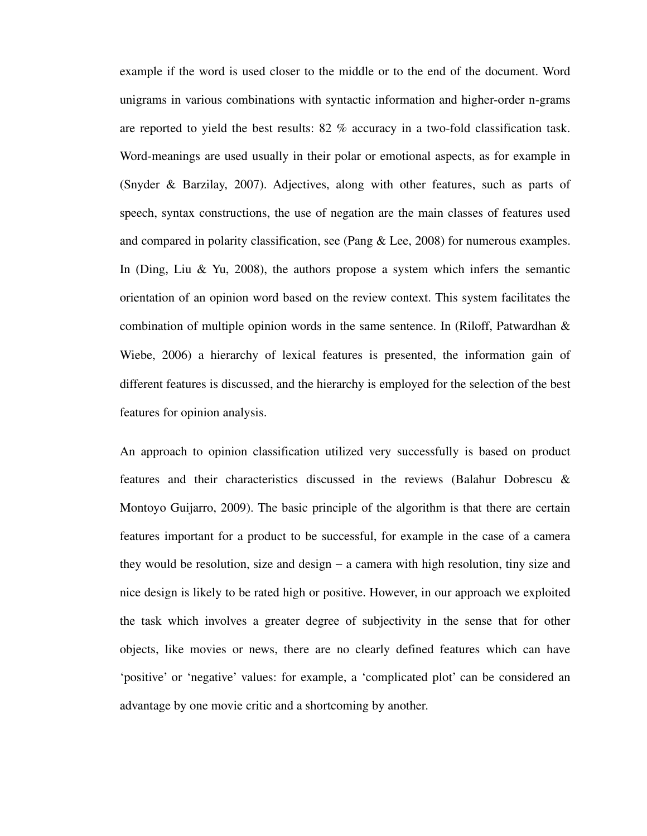example if the word is used closer to the middle or to the end of the document. Word unigrams in various combinations with syntactic information and higher-order n-grams are reported to yield the best results: 82 % accuracy in a two-fold classification task. Word-meanings are used usually in their polar or emotional aspects, as for example in (Snyder & Barzilay, 2007). Adjectives, along with other features, such as parts of speech, syntax constructions, the use of negation are the main classes of features used and compared in polarity classification, see (Pang & Lee, 2008) for numerous examples. In (Ding, Liu & Yu, 2008), the authors propose a system which infers the semantic orientation of an opinion word based on the review context. This system facilitates the combination of multiple opinion words in the same sentence. In (Riloff, Patwardhan  $\&$ Wiebe, 2006) a hierarchy of lexical features is presented, the information gain of different features is discussed, and the hierarchy is employed for the selection of the best features for opinion analysis.

An approach to opinion classification utilized very successfully is based on product features and their characteristics discussed in the reviews (Balahur Dobrescu & Montoyo Guijarro, 2009). The basic principle of the algorithm is that there are certain features important for a product to be successful, for example in the case of a camera they would be resolution, size and design − a camera with high resolution, tiny size and nice design is likely to be rated high or positive. However, in our approach we exploited the task which involves a greater degree of subjectivity in the sense that for other objects, like movies or news, there are no clearly defined features which can have 'positive' or 'negative' values: for example, a 'complicated plot' can be considered an advantage by one movie critic and a shortcoming by another.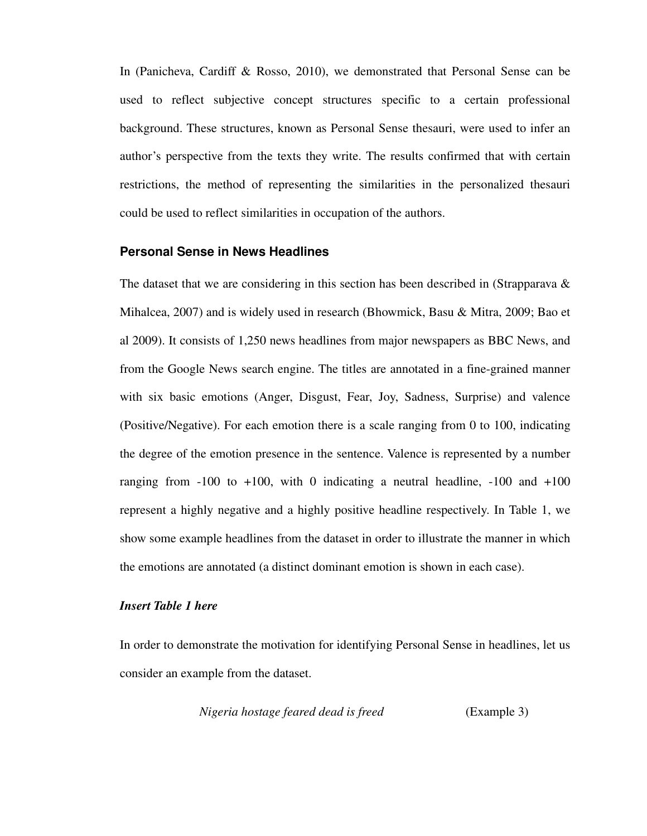In (Panicheva, Cardiff & Rosso, 2010), we demonstrated that Personal Sense can be used to reflect subjective concept structures specific to a certain professional background. These structures, known as Personal Sense thesauri, were used to infer an author's perspective from the texts they write. The results confirmed that with certain restrictions, the method of representing the similarities in the personalized thesauri could be used to reflect similarities in occupation of the authors.

#### **Personal Sense in News Headlines**

The dataset that we are considering in this section has been described in (Strapparava  $\&$ Mihalcea, 2007) and is widely used in research (Bhowmick, Basu & Mitra, 2009; Bao et al 2009). It consists of 1,250 news headlines from major newspapers as BBC News, and from the Google News search engine. The titles are annotated in a fine-grained manner with six basic emotions (Anger, Disgust, Fear, Joy, Sadness, Surprise) and valence (Positive/Negative). For each emotion there is a scale ranging from 0 to 100, indicating the degree of the emotion presence in the sentence. Valence is represented by a number ranging from  $-100$  to  $+100$ , with 0 indicating a neutral headline,  $-100$  and  $+100$ represent a highly negative and a highly positive headline respectively. In Table 1, we show some example headlines from the dataset in order to illustrate the manner in which the emotions are annotated (a distinct dominant emotion is shown in each case).

#### *Insert Table 1 here*

In order to demonstrate the motivation for identifying Personal Sense in headlines, let us consider an example from the dataset.

 *Nigeria hostage feared dead is freed* (Example 3)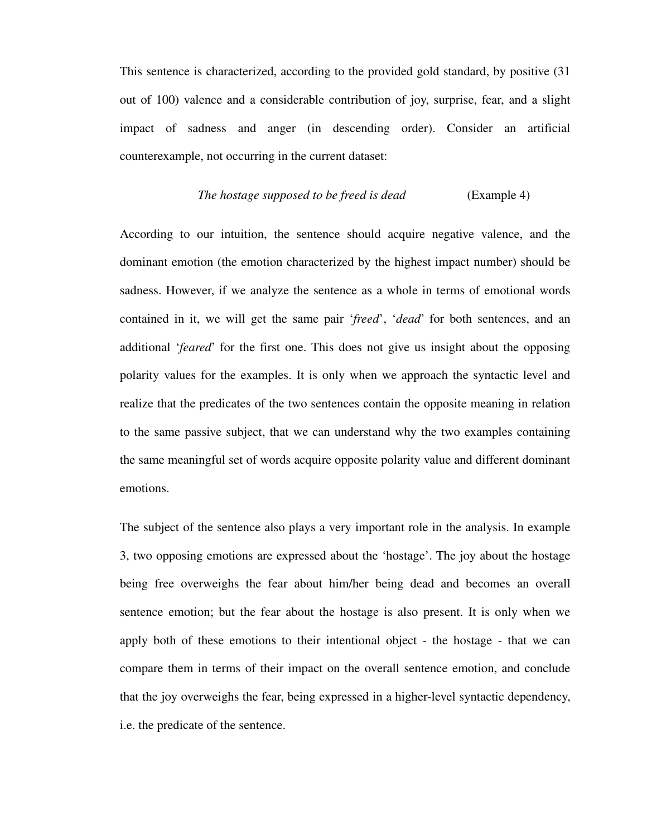This sentence is characterized, according to the provided gold standard, by positive (31 out of 100) valence and a considerable contribution of joy, surprise, fear, and a slight impact of sadness and anger (in descending order). Consider an artificial counterexample, not occurring in the current dataset:

#### *The hostage supposed to be freed is dead* (Example 4)

According to our intuition, the sentence should acquire negative valence, and the dominant emotion (the emotion characterized by the highest impact number) should be sadness. However, if we analyze the sentence as a whole in terms of emotional words contained in it, we will get the same pair '*freed*', '*dead*' for both sentences, and an additional '*feared*' for the first one. This does not give us insight about the opposing polarity values for the examples. It is only when we approach the syntactic level and realize that the predicates of the two sentences contain the opposite meaning in relation to the same passive subject, that we can understand why the two examples containing the same meaningful set of words acquire opposite polarity value and different dominant emotions.

The subject of the sentence also plays a very important role in the analysis. In example 3, two opposing emotions are expressed about the 'hostage'. The joy about the hostage being free overweighs the fear about him/her being dead and becomes an overall sentence emotion; but the fear about the hostage is also present. It is only when we apply both of these emotions to their intentional object - the hostage - that we can compare them in terms of their impact on the overall sentence emotion, and conclude that the joy overweighs the fear, being expressed in a higher-level syntactic dependency, i.e. the predicate of the sentence.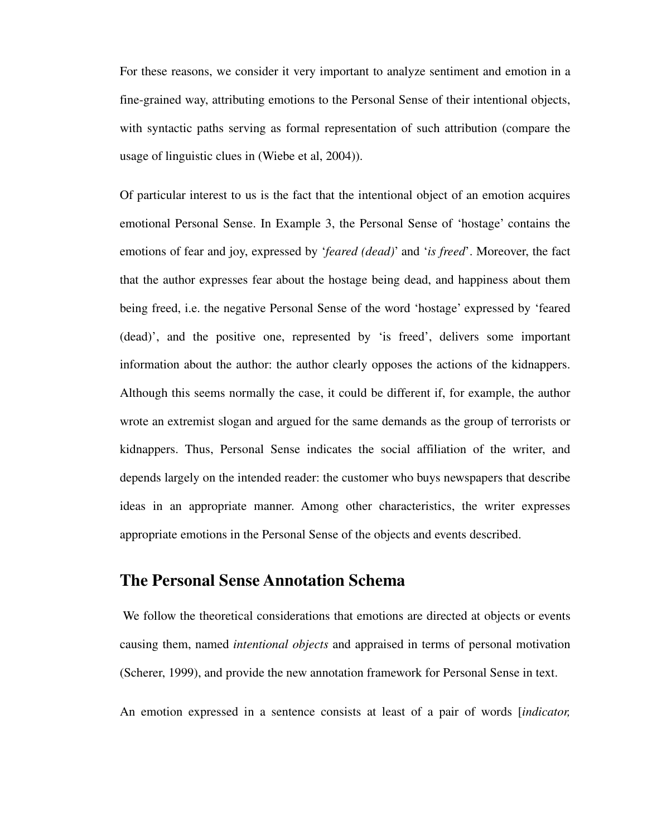For these reasons, we consider it very important to analyze sentiment and emotion in a fine-grained way, attributing emotions to the Personal Sense of their intentional objects, with syntactic paths serving as formal representation of such attribution (compare the usage of linguistic clues in (Wiebe et al, 2004)).

Of particular interest to us is the fact that the intentional object of an emotion acquires emotional Personal Sense. In Example 3, the Personal Sense of 'hostage' contains the emotions of fear and joy, expressed by '*feared (dead)*' and '*is freed*'. Moreover, the fact that the author expresses fear about the hostage being dead, and happiness about them being freed, i.e. the negative Personal Sense of the word 'hostage' expressed by 'feared (dead)', and the positive one, represented by 'is freed', delivers some important information about the author: the author clearly opposes the actions of the kidnappers. Although this seems normally the case, it could be different if, for example, the author wrote an extremist slogan and argued for the same demands as the group of terrorists or kidnappers. Thus, Personal Sense indicates the social affiliation of the writer, and depends largely on the intended reader: the customer who buys newspapers that describe ideas in an appropriate manner. Among other characteristics, the writer expresses appropriate emotions in the Personal Sense of the objects and events described.

# **The Personal Sense Annotation Schema**

We follow the theoretical considerations that emotions are directed at objects or events causing them, named *intentional objects* and appraised in terms of personal motivation (Scherer, 1999), and provide the new annotation framework for Personal Sense in text.

An emotion expressed in a sentence consists at least of a pair of words [*indicator,*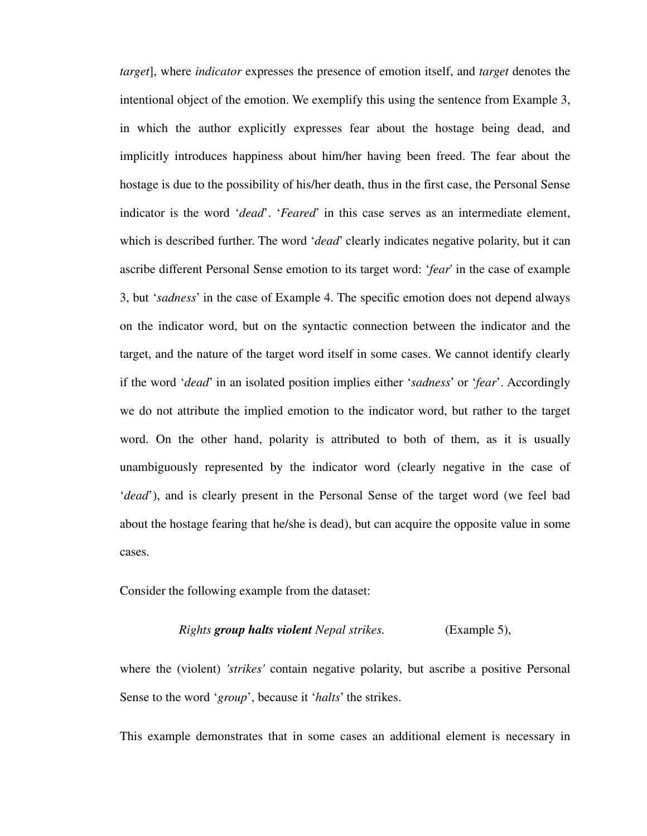*target*], where *indicator* expresses the presence of emotion itself, and *target* denotes the intentional object of the emotion. We exemplify this using the sentence from Example 3, in which the author explicitly expresses fear about the hostage being dead, and implicitly introduces happiness about him/her having been freed. The fear about the hostage is due to the possibility of his/her death, thus in the first case, the Personal Sense indicator is the word '*dead*'. '*Feared*' in this case serves as an intermediate element, which is described further. The word '*dead*' clearly indicates negative polarity, but it can ascribe different Personal Sense emotion to its target word: '*fear*' in the case of example 3, but '*sadness*' in the case of Example 4. The specific emotion does not depend always on the indicator word, but on the syntactic connection between the indicator and the target, and the nature of the target word itself in some cases. We cannot identify clearly if the word '*dead*' in an isolated position implies either '*sadness*' or '*fear*'. Accordingly we do not attribute the implied emotion to the indicator word, but rather to the target word. On the other hand, polarity is attributed to both of them, as it is usually unambiguously represented by the indicator word (clearly negative in the case of '*dead*'), and is clearly present in the Personal Sense of the target word (we feel bad about the hostage fearing that he/she is dead), but can acquire the opposite value in some cases.

Consider the following example from the dataset:

#### *Rights group halts violent Nepal strikes.* (Example 5),

where the (violent) *'strikes'* contain negative polarity, but ascribe a positive Personal Sense to the word '*group*', because it '*halts*' the strikes.

This example demonstrates that in some cases an additional element is necessary in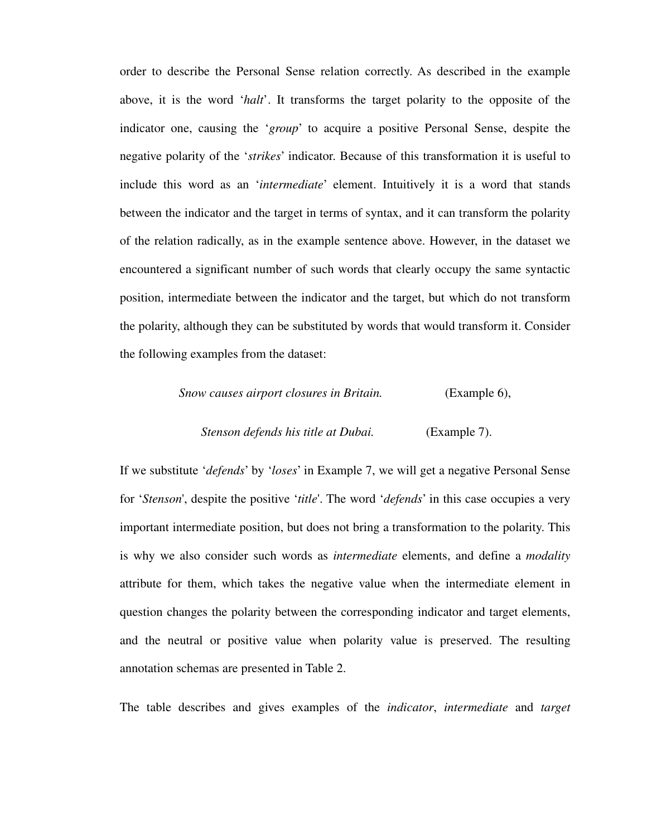order to describe the Personal Sense relation correctly. As described in the example above, it is the word '*halt*'. It transforms the target polarity to the opposite of the indicator one, causing the '*group*' to acquire a positive Personal Sense, despite the negative polarity of the '*strikes*' indicator. Because of this transformation it is useful to include this word as an '*intermediate*' element. Intuitively it is a word that stands between the indicator and the target in terms of syntax, and it can transform the polarity of the relation radically, as in the example sentence above. However, in the dataset we encountered a significant number of such words that clearly occupy the same syntactic position, intermediate between the indicator and the target, but which do not transform the polarity, although they can be substituted by words that would transform it. Consider the following examples from the dataset:

# *Snow causes airport closures in Britain.* (Example 6), *Stenson defends his title at Dubai.* (Example 7).

If we substitute '*defends*' by '*loses*' in Example 7, we will get a negative Personal Sense for '*Stenson*', despite the positive '*title*'. The word '*defends*' in this case occupies a very important intermediate position, but does not bring a transformation to the polarity. This is why we also consider such words as *intermediate* elements, and define a *modality*  attribute for them, which takes the negative value when the intermediate element in question changes the polarity between the corresponding indicator and target elements, and the neutral or positive value when polarity value is preserved. The resulting annotation schemas are presented in Table 2.

The table describes and gives examples of the *indicator*, *intermediate* and *target*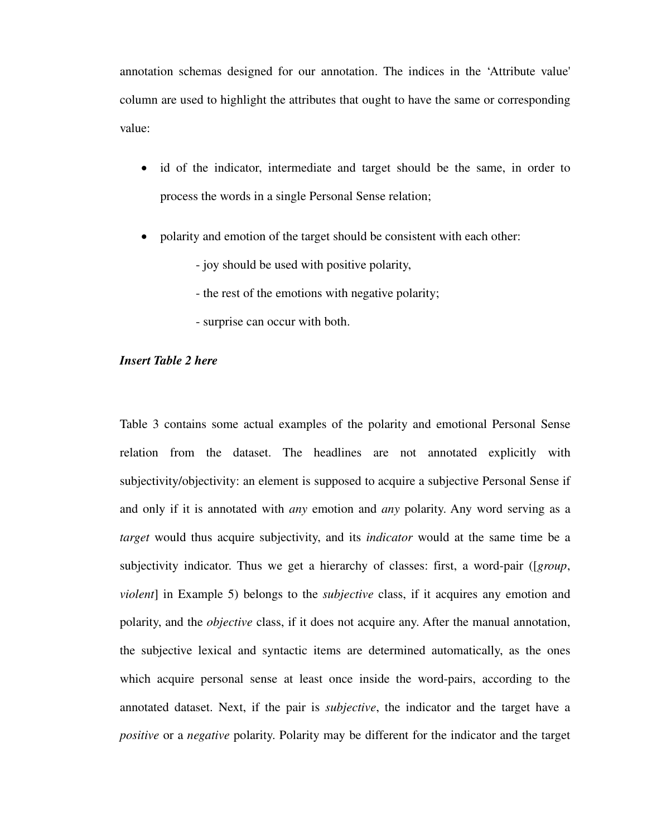annotation schemas designed for our annotation. The indices in the 'Attribute value' column are used to highlight the attributes that ought to have the same or corresponding value:

- id of the indicator, intermediate and target should be the same, in order to process the words in a single Personal Sense relation;
- polarity and emotion of the target should be consistent with each other:
	- joy should be used with positive polarity,
	- the rest of the emotions with negative polarity;
	- surprise can occur with both.

#### *Insert Table 2 here*

Table 3 contains some actual examples of the polarity and emotional Personal Sense relation from the dataset. The headlines are not annotated explicitly with subjectivity/objectivity: an element is supposed to acquire a subjective Personal Sense if and only if it is annotated with *any* emotion and *any* polarity. Any word serving as a *target* would thus acquire subjectivity, and its *indicator* would at the same time be a subjectivity indicator. Thus we get a hierarchy of classes: first, a word-pair ([*group*, *violent*] in Example 5) belongs to the *subjective* class, if it acquires any emotion and polarity, and the *objective* class, if it does not acquire any. After the manual annotation, the subjective lexical and syntactic items are determined automatically, as the ones which acquire personal sense at least once inside the word-pairs, according to the annotated dataset. Next, if the pair is *subjective*, the indicator and the target have a *positive* or a *negative* polarity. Polarity may be different for the indicator and the target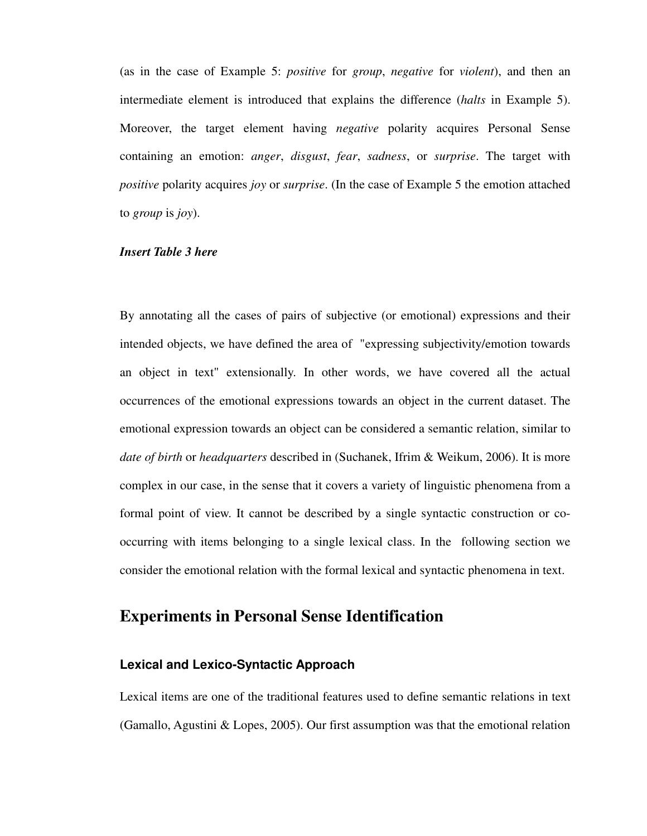(as in the case of Example 5: *positive* for *group*, *negative* for *violent*), and then an intermediate element is introduced that explains the difference (*halts* in Example 5). Moreover, the target element having *negative* polarity acquires Personal Sense containing an emotion: *anger*, *disgust*, *fear*, *sadness*, or *surprise*. The target with *positive* polarity acquires *joy* or *surprise*. (In the case of Example 5 the emotion attached to *group* is *joy*).

#### *Insert Table 3 here*

By annotating all the cases of pairs of subjective (or emotional) expressions and their intended objects, we have defined the area of "expressing subjectivity/emotion towards an object in text" extensionally. In other words, we have covered all the actual occurrences of the emotional expressions towards an object in the current dataset. The emotional expression towards an object can be considered a semantic relation, similar to *date of birth* or *headquarters* described in (Suchanek, Ifrim & Weikum, 2006). It is more complex in our case, in the sense that it covers a variety of linguistic phenomena from a formal point of view. It cannot be described by a single syntactic construction or cooccurring with items belonging to a single lexical class. In the following section we consider the emotional relation with the formal lexical and syntactic phenomena in text.

# **Experiments in Personal Sense Identification**

#### **Lexical and Lexico-Syntactic Approach**

Lexical items are one of the traditional features used to define semantic relations in text (Gamallo, Agustini & Lopes, 2005). Our first assumption was that the emotional relation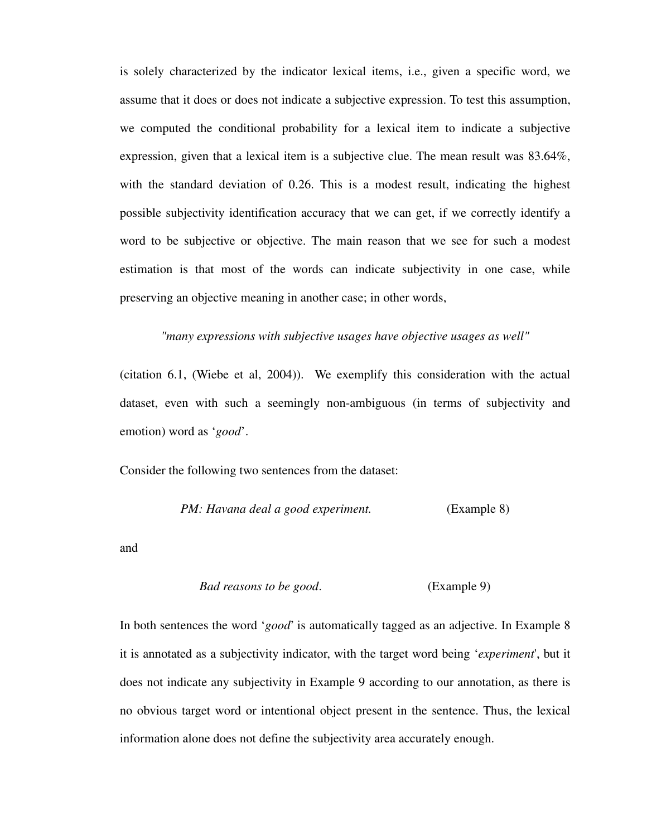is solely characterized by the indicator lexical items, i.e., given a specific word, we assume that it does or does not indicate a subjective expression. To test this assumption, we computed the conditional probability for a lexical item to indicate a subjective expression, given that a lexical item is a subjective clue. The mean result was 83.64%, with the standard deviation of 0.26. This is a modest result, indicating the highest possible subjectivity identification accuracy that we can get, if we correctly identify a word to be subjective or objective. The main reason that we see for such a modest estimation is that most of the words can indicate subjectivity in one case, while preserving an objective meaning in another case; in other words,

*"many expressions with subjective usages have objective usages as well"*

(citation 6.1, (Wiebe et al, 2004)). We exemplify this consideration with the actual dataset, even with such a seemingly non-ambiguous (in terms of subjectivity and emotion) word as '*good*'.

Consider the following two sentences from the dataset:

*PM: Havana deal a good experiment.* (Example 8)

and

```
Bad reasons to be good. (Example 9)
```
In both sentences the word '*good*' is automatically tagged as an adjective. In Example 8 it is annotated as a subjectivity indicator, with the target word being '*experiment*', but it does not indicate any subjectivity in Example 9 according to our annotation, as there is no obvious target word or intentional object present in the sentence. Thus, the lexical information alone does not define the subjectivity area accurately enough.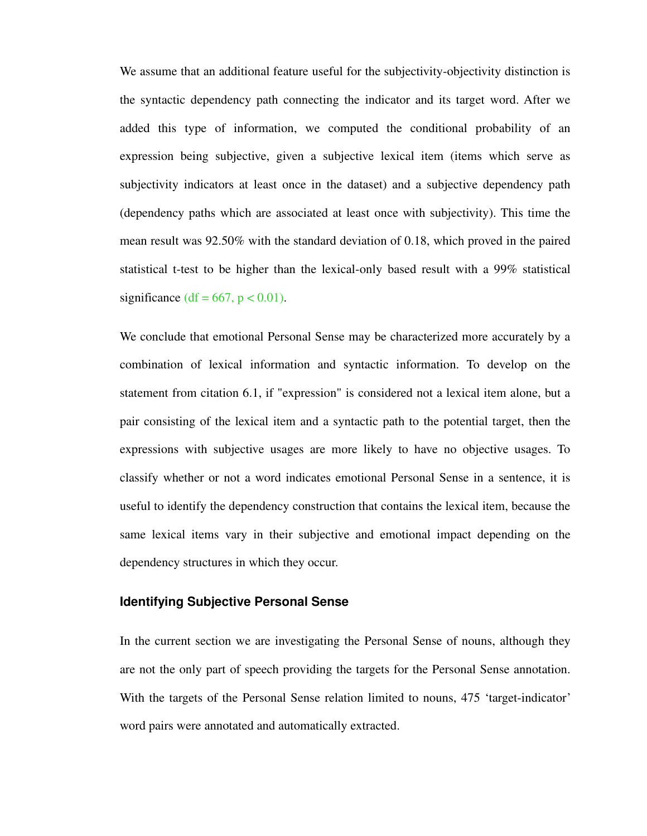We assume that an additional feature useful for the subjectivity-objectivity distinction is the syntactic dependency path connecting the indicator and its target word. After we added this type of information, we computed the conditional probability of an expression being subjective, given a subjective lexical item (items which serve as subjectivity indicators at least once in the dataset) and a subjective dependency path (dependency paths which are associated at least once with subjectivity). This time the mean result was 92.50% with the standard deviation of 0.18, which proved in the paired statistical t-test to be higher than the lexical-only based result with a 99% statistical significance (df =  $667$ , p < 0.01).

We conclude that emotional Personal Sense may be characterized more accurately by a combination of lexical information and syntactic information. To develop on the statement from citation 6.1, if "expression" is considered not a lexical item alone, but a pair consisting of the lexical item and a syntactic path to the potential target, then the expressions with subjective usages are more likely to have no objective usages. To classify whether or not a word indicates emotional Personal Sense in a sentence, it is useful to identify the dependency construction that contains the lexical item, because the same lexical items vary in their subjective and emotional impact depending on the dependency structures in which they occur.

#### **Identifying Subjective Personal Sense**

In the current section we are investigating the Personal Sense of nouns, although they are not the only part of speech providing the targets for the Personal Sense annotation. With the targets of the Personal Sense relation limited to nouns, 475 'target-indicator' word pairs were annotated and automatically extracted.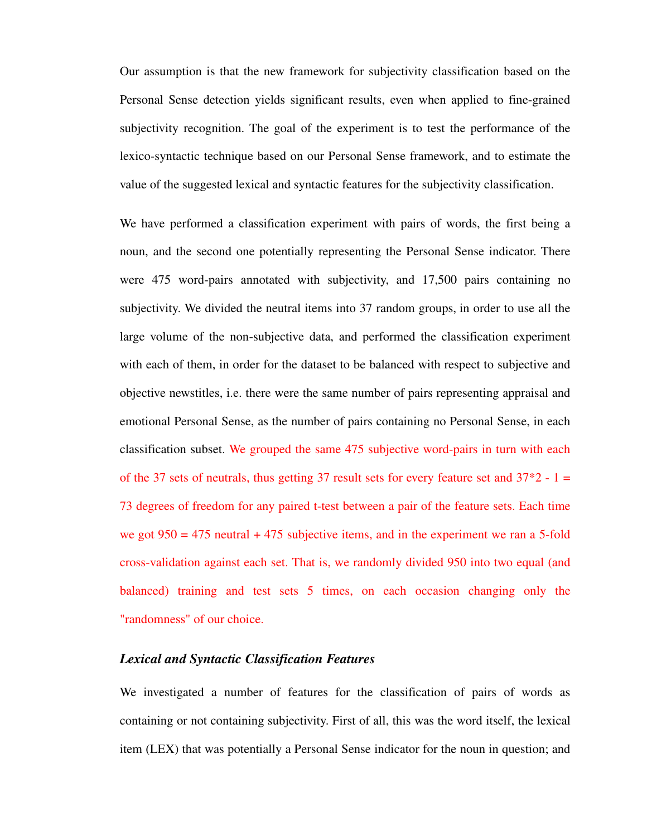Our assumption is that the new framework for subjectivity classification based on the Personal Sense detection yields significant results, even when applied to fine-grained subjectivity recognition. The goal of the experiment is to test the performance of the lexico-syntactic technique based on our Personal Sense framework, and to estimate the value of the suggested lexical and syntactic features for the subjectivity classification.

We have performed a classification experiment with pairs of words, the first being a noun, and the second one potentially representing the Personal Sense indicator. There were 475 word-pairs annotated with subjectivity, and 17,500 pairs containing no subjectivity. We divided the neutral items into 37 random groups, in order to use all the large volume of the non-subjective data, and performed the classification experiment with each of them, in order for the dataset to be balanced with respect to subjective and objective newstitles, i.e. there were the same number of pairs representing appraisal and emotional Personal Sense, as the number of pairs containing no Personal Sense, in each classification subset. We grouped the same 475 subjective word-pairs in turn with each of the 37 sets of neutrals, thus getting 37 result sets for every feature set and  $37*2 - 1 =$ 73 degrees of freedom for any paired t-test between a pair of the feature sets. Each time we got  $950 = 475$  neutral  $+ 475$  subjective items, and in the experiment we ran a 5-fold cross-validation against each set. That is, we randomly divided 950 into two equal (and balanced) training and test sets 5 times, on each occasion changing only the "randomness" of our choice.

### *Lexical and Syntactic Classification Features*

We investigated a number of features for the classification of pairs of words as containing or not containing subjectivity. First of all, this was the word itself, the lexical item (LEX) that was potentially a Personal Sense indicator for the noun in question; and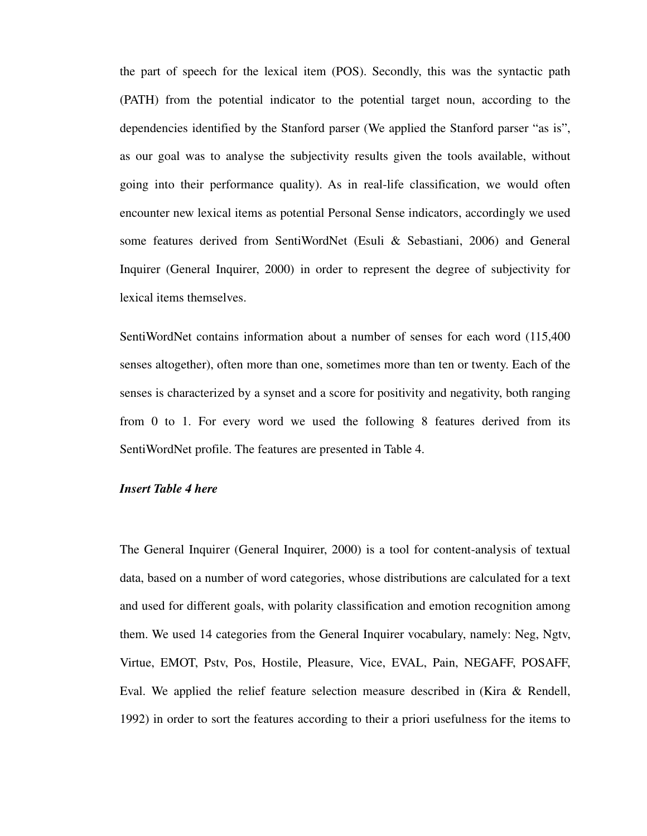the part of speech for the lexical item (POS). Secondly, this was the syntactic path (PATH) from the potential indicator to the potential target noun, according to the dependencies identified by the Stanford parser (We applied the Stanford parser "as is", as our goal was to analyse the subjectivity results given the tools available, without going into their performance quality). As in real-life classification, we would often encounter new lexical items as potential Personal Sense indicators, accordingly we used some features derived from SentiWordNet (Esuli & Sebastiani, 2006) and General Inquirer (General Inquirer, 2000) in order to represent the degree of subjectivity for lexical items themselves.

SentiWordNet contains information about a number of senses for each word (115,400 senses altogether), often more than one, sometimes more than ten or twenty. Each of the senses is characterized by a synset and a score for positivity and negativity, both ranging from 0 to 1. For every word we used the following 8 features derived from its SentiWordNet profile. The features are presented in Table 4.

#### *Insert Table 4 here*

The General Inquirer (General Inquirer, 2000) is a tool for content-analysis of textual data, based on a number of word categories, whose distributions are calculated for a text and used for different goals, with polarity classification and emotion recognition among them. We used 14 categories from the General Inquirer vocabulary, namely: Neg, Ngtv, Virtue, EMOT, Pstv, Pos, Hostile, Pleasure, Vice, EVAL, Pain, NEGAFF, POSAFF, Eval. We applied the relief feature selection measure described in (Kira & Rendell, 1992) in order to sort the features according to their a priori usefulness for the items to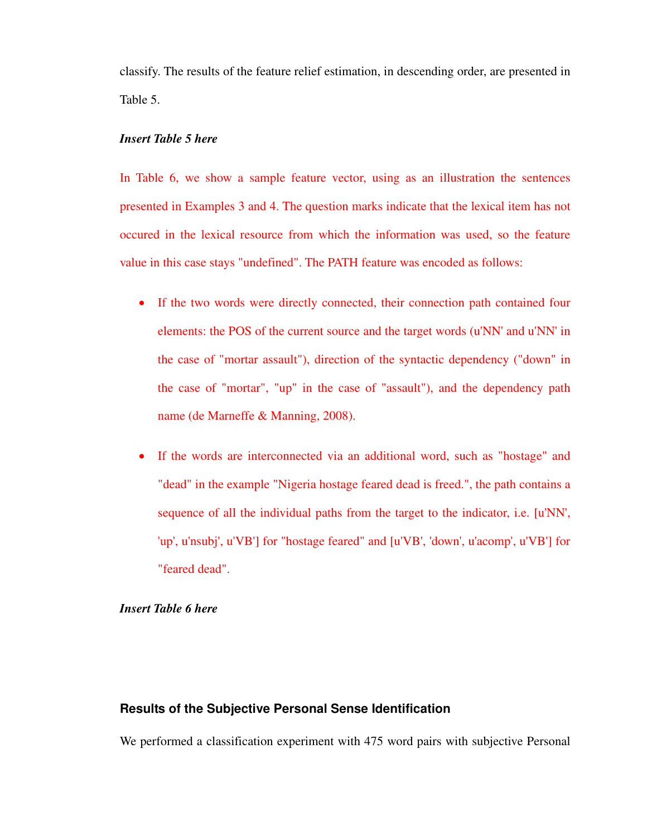classify. The results of the feature relief estimation, in descending order, are presented in Table 5.

#### *Insert Table 5 here*

In Table 6, we show a sample feature vector, using as an illustration the sentences presented in Examples 3 and 4. The question marks indicate that the lexical item has not occured in the lexical resource from which the information was used, so the feature value in this case stays "undefined". The PATH feature was encoded as follows:

- If the two words were directly connected, their connection path contained four elements: the POS of the current source and the target words (u'NN' and u'NN' in the case of "mortar assault"), direction of the syntactic dependency ("down" in the case of "mortar", "up" in the case of "assault"), and the dependency path name (de Marneffe & Manning, 2008).
- If the words are interconnected via an additional word, such as "hostage" and "dead" in the example "Nigeria hostage feared dead is freed.", the path contains a sequence of all the individual paths from the target to the indicator, i.e. [u'NN', 'up', u'nsubj', u'VB'] for "hostage feared" and [u'VB', 'down', u'acomp', u'VB'] for "feared dead".

#### *Insert Table 6 here*

### **Results of the Subjective Personal Sense Identification**

We performed a classification experiment with 475 word pairs with subjective Personal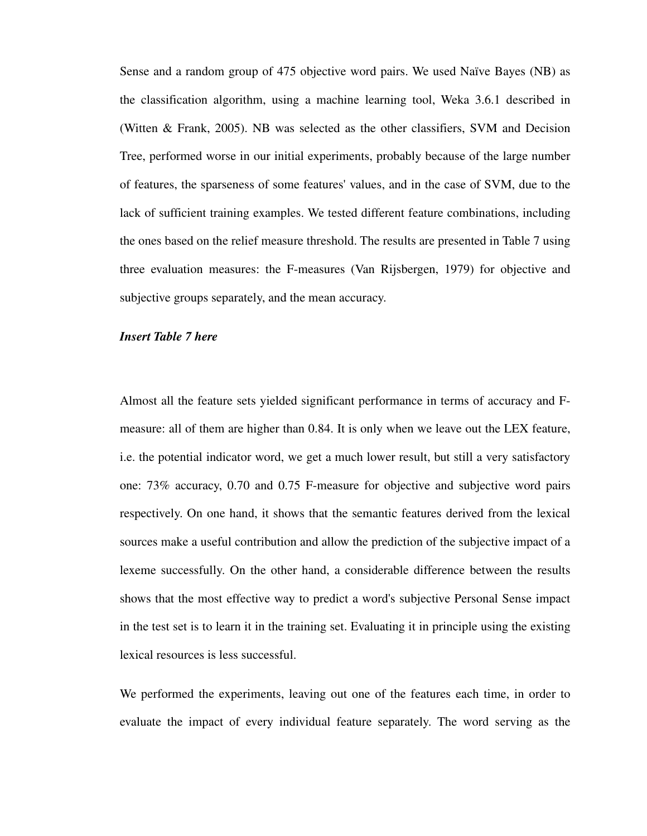Sense and a random group of 475 objective word pairs. We used Naïve Bayes (NB) as the classification algorithm, using a machine learning tool, Weka 3.6.1 described in (Witten & Frank, 2005). NB was selected as the other classifiers, SVM and Decision Tree, performed worse in our initial experiments, probably because of the large number of features, the sparseness of some features' values, and in the case of SVM, due to the lack of sufficient training examples. We tested different feature combinations, including the ones based on the relief measure threshold. The results are presented in Table 7 using three evaluation measures: the F-measures (Van Rijsbergen, 1979) for objective and subjective groups separately, and the mean accuracy.

#### *Insert Table 7 here*

Almost all the feature sets yielded significant performance in terms of accuracy and Fmeasure: all of them are higher than 0.84. It is only when we leave out the LEX feature, i.e. the potential indicator word, we get a much lower result, but still a very satisfactory one: 73% accuracy, 0.70 and 0.75 F-measure for objective and subjective word pairs respectively. On one hand, it shows that the semantic features derived from the lexical sources make a useful contribution and allow the prediction of the subjective impact of a lexeme successfully. On the other hand, a considerable difference between the results shows that the most effective way to predict a word's subjective Personal Sense impact in the test set is to learn it in the training set. Evaluating it in principle using the existing lexical resources is less successful.

We performed the experiments, leaving out one of the features each time, in order to evaluate the impact of every individual feature separately. The word serving as the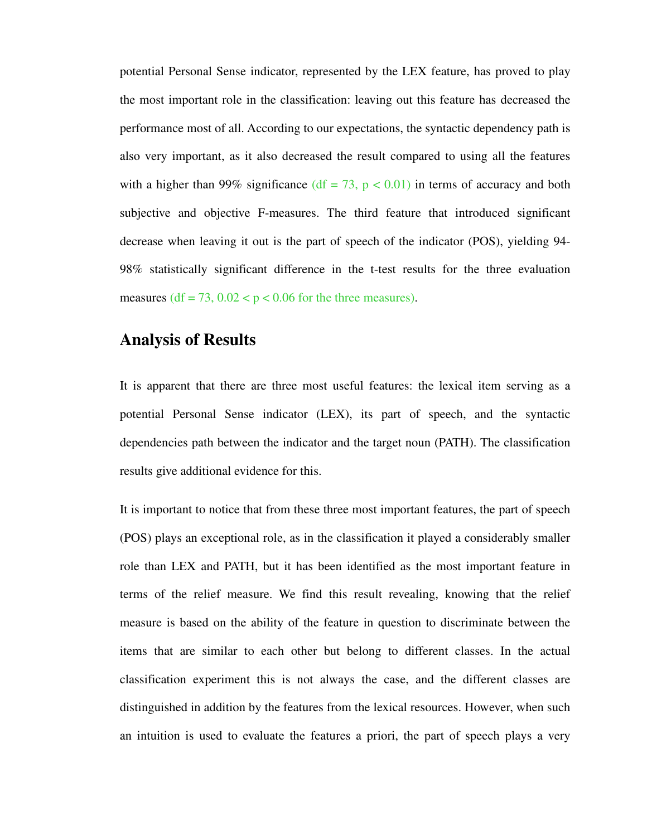potential Personal Sense indicator, represented by the LEX feature, has proved to play the most important role in the classification: leaving out this feature has decreased the performance most of all. According to our expectations, the syntactic dependency path is also very important, as it also decreased the result compared to using all the features with a higher than 99% significance ( $df = 73$ ,  $p < 0.01$ ) in terms of accuracy and both subjective and objective F-measures. The third feature that introduced significant decrease when leaving it out is the part of speech of the indicator (POS), yielding 94- 98% statistically significant difference in the t-test results for the three evaluation measures (df = 73,  $0.02 < p < 0.06$  for the three measures).

# **Analysis of Results**

It is apparent that there are three most useful features: the lexical item serving as a potential Personal Sense indicator (LEX), its part of speech, and the syntactic dependencies path between the indicator and the target noun (PATH). The classification results give additional evidence for this.

It is important to notice that from these three most important features, the part of speech (POS) plays an exceptional role, as in the classification it played a considerably smaller role than LEX and PATH, but it has been identified as the most important feature in terms of the relief measure. We find this result revealing, knowing that the relief measure is based on the ability of the feature in question to discriminate between the items that are similar to each other but belong to different classes. In the actual classification experiment this is not always the case, and the different classes are distinguished in addition by the features from the lexical resources. However, when such an intuition is used to evaluate the features a priori, the part of speech plays a very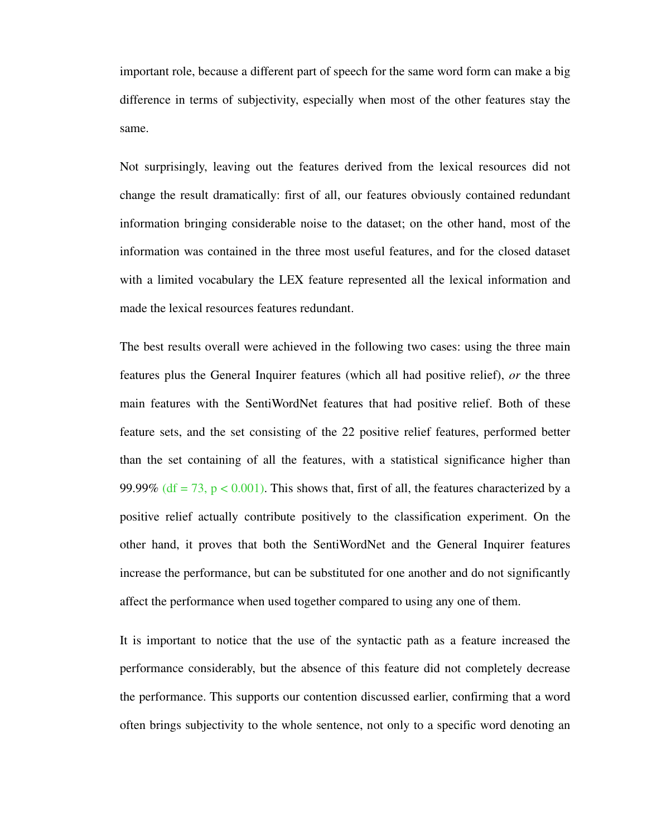important role, because a different part of speech for the same word form can make a big difference in terms of subjectivity, especially when most of the other features stay the same.

Not surprisingly, leaving out the features derived from the lexical resources did not change the result dramatically: first of all, our features obviously contained redundant information bringing considerable noise to the dataset; on the other hand, most of the information was contained in the three most useful features, and for the closed dataset with a limited vocabulary the LEX feature represented all the lexical information and made the lexical resources features redundant.

The best results overall were achieved in the following two cases: using the three main features plus the General Inquirer features (which all had positive relief), *or* the three main features with the SentiWordNet features that had positive relief. Both of these feature sets, and the set consisting of the 22 positive relief features, performed better than the set containing of all the features, with a statistical significance higher than 99.99% (df = 73, p < 0.001). This shows that, first of all, the features characterized by a positive relief actually contribute positively to the classification experiment. On the other hand, it proves that both the SentiWordNet and the General Inquirer features increase the performance, but can be substituted for one another and do not significantly affect the performance when used together compared to using any one of them.

It is important to notice that the use of the syntactic path as a feature increased the performance considerably, but the absence of this feature did not completely decrease the performance. This supports our contention discussed earlier, confirming that a word often brings subjectivity to the whole sentence, not only to a specific word denoting an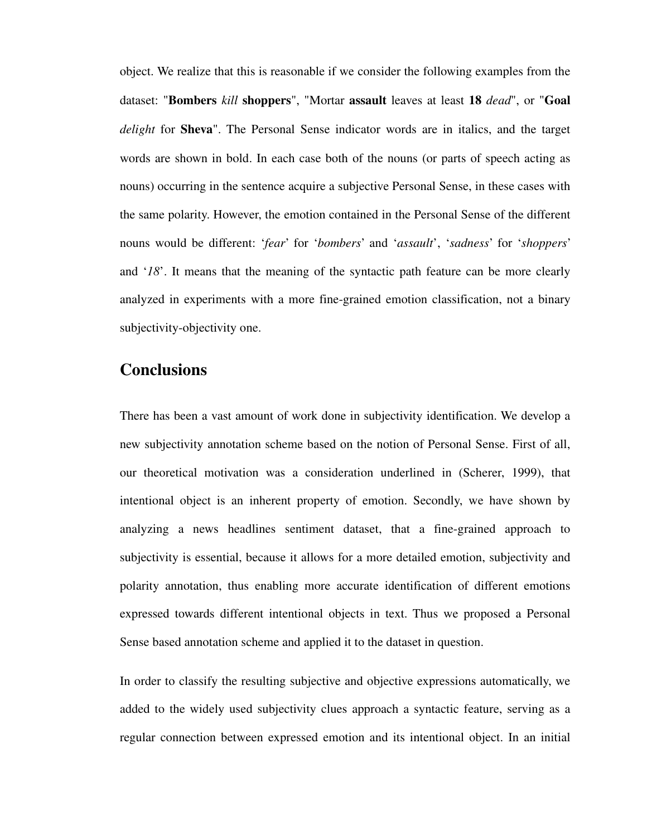object. We realize that this is reasonable if we consider the following examples from the dataset: "**Bombers** *kill* **shoppers**", "Mortar **assault** leaves at least **18** *dead*", or "**Goal** *delight* for **Sheva**". The Personal Sense indicator words are in italics, and the target words are shown in bold. In each case both of the nouns (or parts of speech acting as nouns) occurring in the sentence acquire a subjective Personal Sense, in these cases with the same polarity. However, the emotion contained in the Personal Sense of the different nouns would be different: '*fear*' for '*bombers*' and '*assault*', '*sadness*' for '*shoppers*' and '*18*'. It means that the meaning of the syntactic path feature can be more clearly analyzed in experiments with a more fine-grained emotion classification, not a binary subjectivity-objectivity one.

# **Conclusions**

There has been a vast amount of work done in subjectivity identification. We develop a new subjectivity annotation scheme based on the notion of Personal Sense. First of all, our theoretical motivation was a consideration underlined in (Scherer, 1999), that intentional object is an inherent property of emotion. Secondly, we have shown by analyzing a news headlines sentiment dataset, that a fine-grained approach to subjectivity is essential, because it allows for a more detailed emotion, subjectivity and polarity annotation, thus enabling more accurate identification of different emotions expressed towards different intentional objects in text. Thus we proposed a Personal Sense based annotation scheme and applied it to the dataset in question.

In order to classify the resulting subjective and objective expressions automatically, we added to the widely used subjectivity clues approach a syntactic feature, serving as a regular connection between expressed emotion and its intentional object. In an initial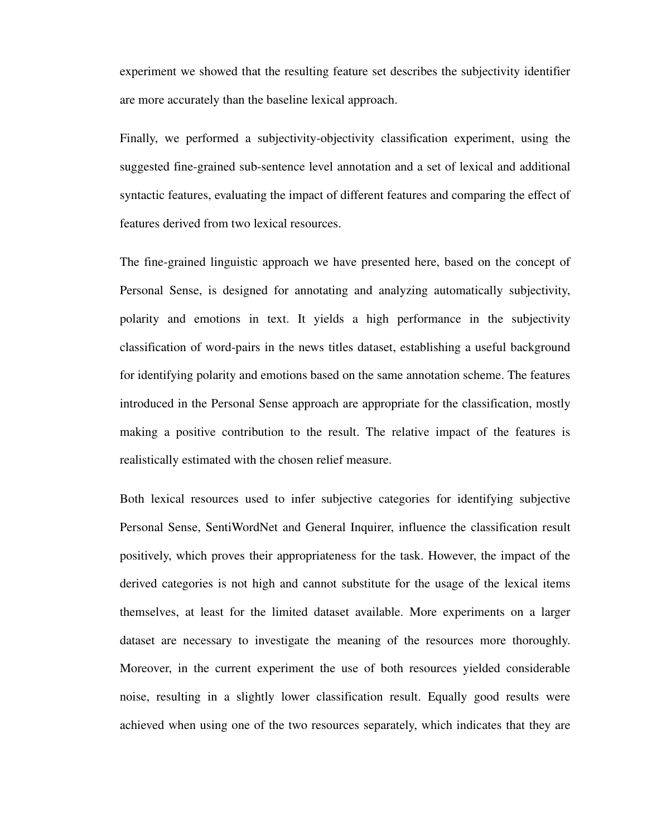experiment we showed that the resulting feature set describes the subjectivity identifier are more accurately than the baseline lexical approach.

Finally, we performed a subjectivity-objectivity classification experiment, using the suggested fine-grained sub-sentence level annotation and a set of lexical and additional syntactic features, evaluating the impact of different features and comparing the effect of features derived from two lexical resources.

The fine-grained linguistic approach we have presented here, based on the concept of Personal Sense, is designed for annotating and analyzing automatically subjectivity, polarity and emotions in text. It yields a high performance in the subjectivity classification of word-pairs in the news titles dataset, establishing a useful background for identifying polarity and emotions based on the same annotation scheme. The features introduced in the Personal Sense approach are appropriate for the classification, mostly making a positive contribution to the result. The relative impact of the features is realistically estimated with the chosen relief measure.

Both lexical resources used to infer subjective categories for identifying subjective Personal Sense, SentiWordNet and General Inquirer, influence the classification result positively, which proves their appropriateness for the task. However, the impact of the derived categories is not high and cannot substitute for the usage of the lexical items themselves, at least for the limited dataset available. More experiments on a larger dataset are necessary to investigate the meaning of the resources more thoroughly. Moreover, in the current experiment the use of both resources yielded considerable noise, resulting in a slightly lower classification result. Equally good results were achieved when using one of the two resources separately, which indicates that they are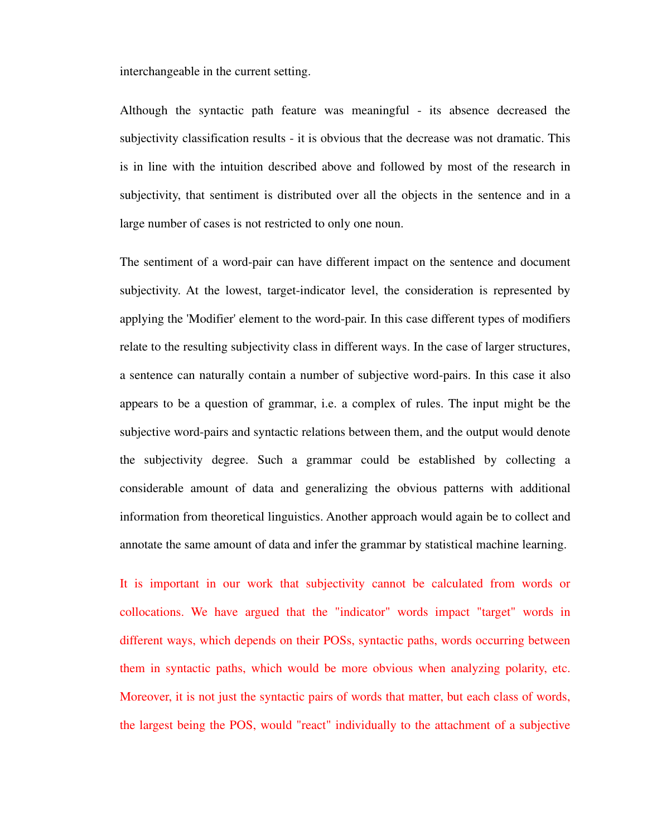interchangeable in the current setting.

Although the syntactic path feature was meaningful - its absence decreased the subjectivity classification results - it is obvious that the decrease was not dramatic. This is in line with the intuition described above and followed by most of the research in subjectivity, that sentiment is distributed over all the objects in the sentence and in a large number of cases is not restricted to only one noun.

The sentiment of a word-pair can have different impact on the sentence and document subjectivity. At the lowest, target-indicator level, the consideration is represented by applying the 'Modifier' element to the word-pair. In this case different types of modifiers relate to the resulting subjectivity class in different ways. In the case of larger structures, a sentence can naturally contain a number of subjective word-pairs. In this case it also appears to be a question of grammar, i.e. a complex of rules. The input might be the subjective word-pairs and syntactic relations between them, and the output would denote the subjectivity degree. Such a grammar could be established by collecting a considerable amount of data and generalizing the obvious patterns with additional information from theoretical linguistics. Another approach would again be to collect and annotate the same amount of data and infer the grammar by statistical machine learning.

It is important in our work that subjectivity cannot be calculated from words or collocations. We have argued that the "indicator" words impact "target" words in different ways, which depends on their POSs, syntactic paths, words occurring between them in syntactic paths, which would be more obvious when analyzing polarity, etc. Moreover, it is not just the syntactic pairs of words that matter, but each class of words, the largest being the POS, would "react" individually to the attachment of a subjective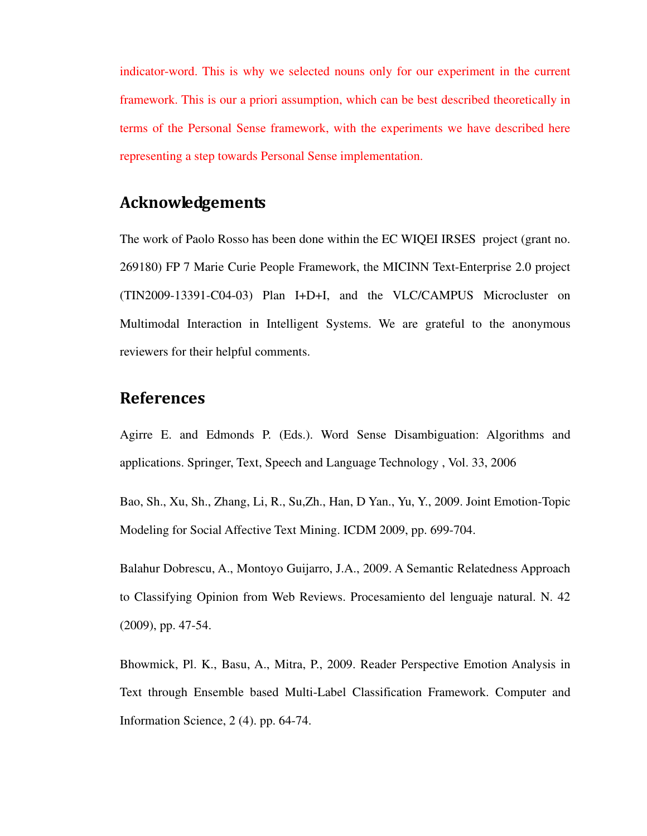indicator-word. This is why we selected nouns only for our experiment in the current framework. This is our a priori assumption, which can be best described theoretically in terms of the Personal Sense framework, with the experiments we have described here representing a step towards Personal Sense implementation.

# Acknowledgements

The work of Paolo Rosso has been done within the EC WIQEI IRSES project (grant no. 269180) FP 7 Marie Curie People Framework, the MICINN Text-Enterprise 2.0 project (TIN2009-13391-C04-03) Plan I+D+I, and the VLC/CAMPUS Microcluster on Multimodal Interaction in Intelligent Systems. We are grateful to the anonymous reviewers for their helpful comments.

# **References**

Agirre E. and Edmonds P. (Eds.). Word Sense Disambiguation: Algorithms and applications. Springer, Text, Speech and Language Technology , Vol. 33, 2006

Bao, Sh., Xu, Sh., Zhang, Li, R., Su,Zh., Han, D Yan., Yu, Y., 2009. Joint Emotion-Topic Modeling for Social Affective Text Mining. ICDM 2009, pp. 699-704.

Balahur Dobrescu, A., Montoyo Guijarro, J.A., 2009. A Semantic Relatedness Approach to Classifying Opinion from Web Reviews. Procesamiento del lenguaje natural. N. 42 (2009), pp. 47-54.

Bhowmick, Pl. K., Basu, A., Mitra, P., 2009. Reader Perspective Emotion Analysis in Text through Ensemble based Multi-Label Classification Framework. Computer and Information Science, 2 (4). pp. 64-74.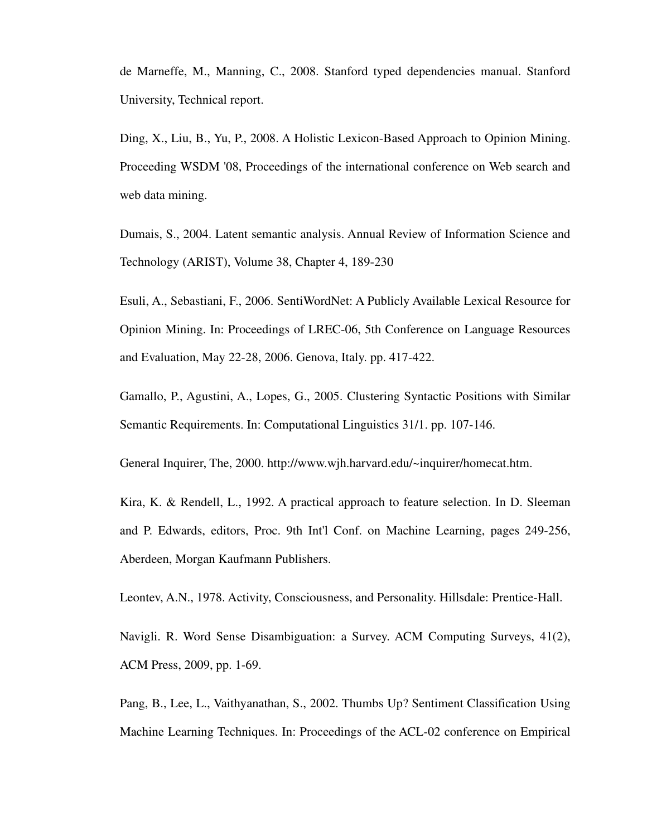de Marneffe, M., Manning, C., 2008. Stanford typed dependencies manual. Stanford University, Technical report.

Ding, X., Liu, B., Yu, P., 2008. A Holistic Lexicon-Based Approach to Opinion Mining. Proceeding WSDM '08, Proceedings of the international conference on Web search and web data mining.

Dumais, S., 2004. Latent semantic analysis. Annual Review of Information Science and Technology (ARIST), Volume 38, Chapter 4, 189-230

Esuli, A., Sebastiani, F., 2006. SentiWordNet: A Publicly Available Lexical Resource for Opinion Mining. In: Proceedings of LREC-06, 5th Conference on Language Resources and Evaluation, May 22-28, 2006. Genova, Italy. pp. 417-422.

Gamallo, P., Agustini, A., Lopes, G., 2005. Clustering Syntactic Positions with Similar Semantic Requirements. In: Computational Linguistics 31/1. pp. 107-146.

General Inquirer, The, 2000. http://www.wjh.harvard.edu/~inquirer/homecat.htm.

Kira, K. & Rendell, L., 1992. A practical approach to feature selection. In D. Sleeman and P. Edwards, editors, Proc. 9th Int'l Conf. on Machine Learning, pages 249-256, Aberdeen, Morgan Kaufmann Publishers.

Leontev, A.N., 1978. Activity, Consciousness, and Personality. Hillsdale: Prentice-Hall.

Navigli. R. Word Sense Disambiguation: a Survey. ACM Computing Surveys, 41(2), ACM Press, 2009, pp. 1-69.

Pang, B., Lee, L., Vaithyanathan, S., 2002. Thumbs Up? Sentiment Classification Using Machine Learning Techniques. In: Proceedings of the ACL-02 conference on Empirical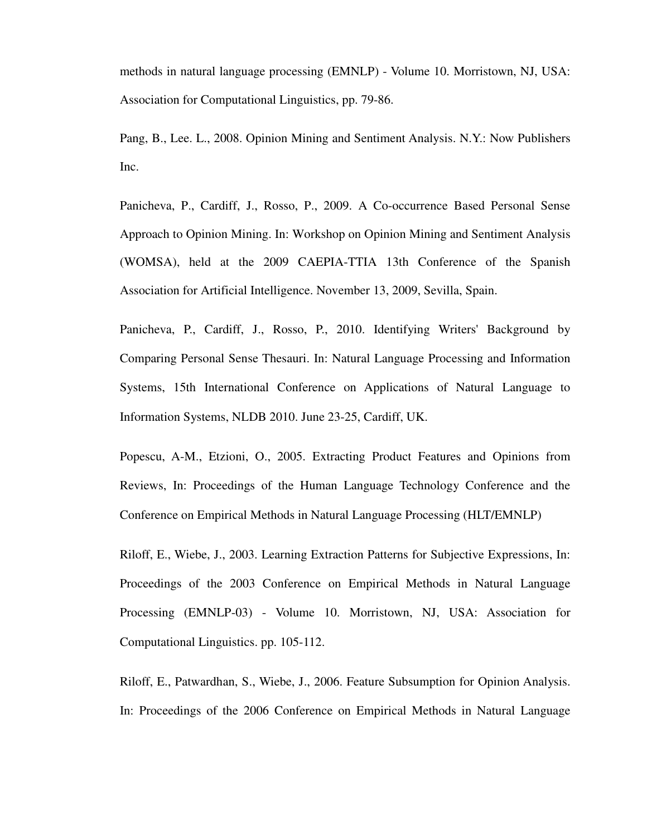methods in natural language processing (EMNLP) - Volume 10. Morristown, NJ, USA: Association for Computational Linguistics, pp. 79-86.

Pang, B., Lee. L., 2008. Opinion Mining and Sentiment Analysis. N.Y.: Now Publishers Inc.

Panicheva, P., Cardiff, J., Rosso, P., 2009. A Co-occurrence Based Personal Sense Approach to Opinion Mining. In: Workshop on Opinion Mining and Sentiment Analysis (WOMSA), held at the 2009 CAEPIA-TTIA 13th Conference of the Spanish Association for Artificial Intelligence. November 13, 2009, Sevilla, Spain.

Panicheva, P., Cardiff, J., Rosso, P., 2010. Identifying Writers' Background by Comparing Personal Sense Thesauri. In: Natural Language Processing and Information Systems, 15th International Conference on Applications of Natural Language to Information Systems, NLDB 2010. June 23-25, Cardiff, UK.

Popescu, A-M., Etzioni, O., 2005. Extracting Product Features and Opinions from Reviews, In: Proceedings of the Human Language Technology Conference and the Conference on Empirical Methods in Natural Language Processing (HLT/EMNLP)

Riloff, E., Wiebe, J., 2003. Learning Extraction Patterns for Subjective Expressions, In: Proceedings of the 2003 Conference on Empirical Methods in Natural Language Processing (EMNLP-03) - Volume 10. Morristown, NJ, USA: Association for Computational Linguistics. pp. 105-112.

Riloff, E., Patwardhan, S., Wiebe, J., 2006. Feature Subsumption for Opinion Analysis. In: Proceedings of the 2006 Conference on Empirical Methods in Natural Language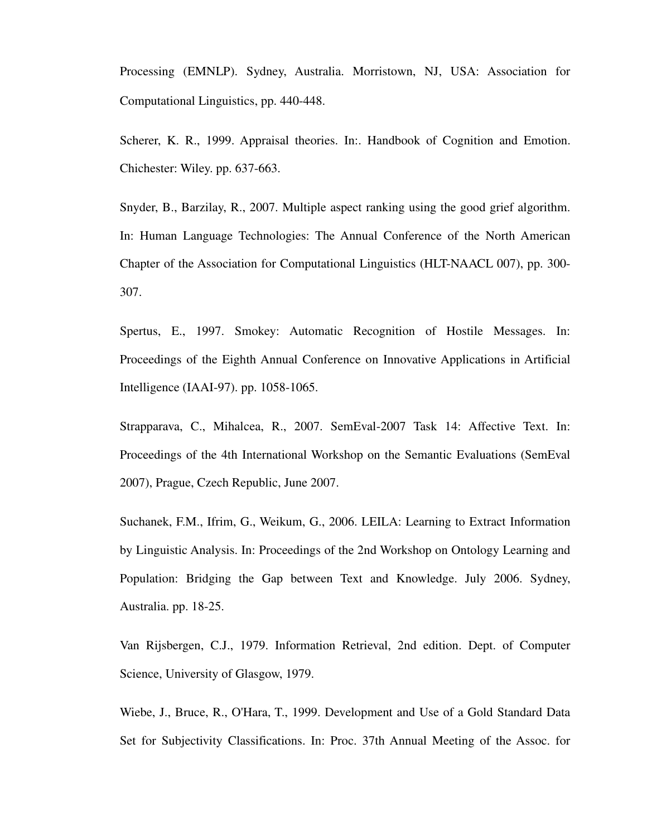Processing (EMNLP). Sydney, Australia. Morristown, NJ, USA: Association for Computational Linguistics, pp. 440-448.

Scherer, K. R., 1999. Appraisal theories. In:. Handbook of Cognition and Emotion. Chichester: Wiley. pp. 637-663.

Snyder, B., Barzilay, R., 2007. Multiple aspect ranking using the good grief algorithm. In: Human Language Technologies: The Annual Conference of the North American Chapter of the Association for Computational Linguistics (HLT-NAACL 007), pp. 300- 307.

Spertus, E., 1997. Smokey: Automatic Recognition of Hostile Messages. In: Proceedings of the Eighth Annual Conference on Innovative Applications in Artificial Intelligence (IAAI-97). pp. 1058-1065.

Strapparava, C., Mihalcea, R., 2007. SemEval-2007 Task 14: Affective Text. In: Proceedings of the 4th International Workshop on the Semantic Evaluations (SemEval 2007), Prague, Czech Republic, June 2007.

Suchanek, F.M., Ifrim, G., Weikum, G., 2006. LEILA: Learning to Extract Information by Linguistic Analysis. In: Proceedings of the 2nd Workshop on Ontology Learning and Population: Bridging the Gap between Text and Knowledge. July 2006. Sydney, Australia. pp. 18-25.

Van Rijsbergen, C.J., 1979. Information Retrieval, 2nd edition. Dept. of Computer Science, University of Glasgow, 1979.

Wiebe, J., Bruce, R., O'Hara, T., 1999. Development and Use of a Gold Standard Data Set for Subjectivity Classifications. In: Proc. 37th Annual Meeting of the Assoc. for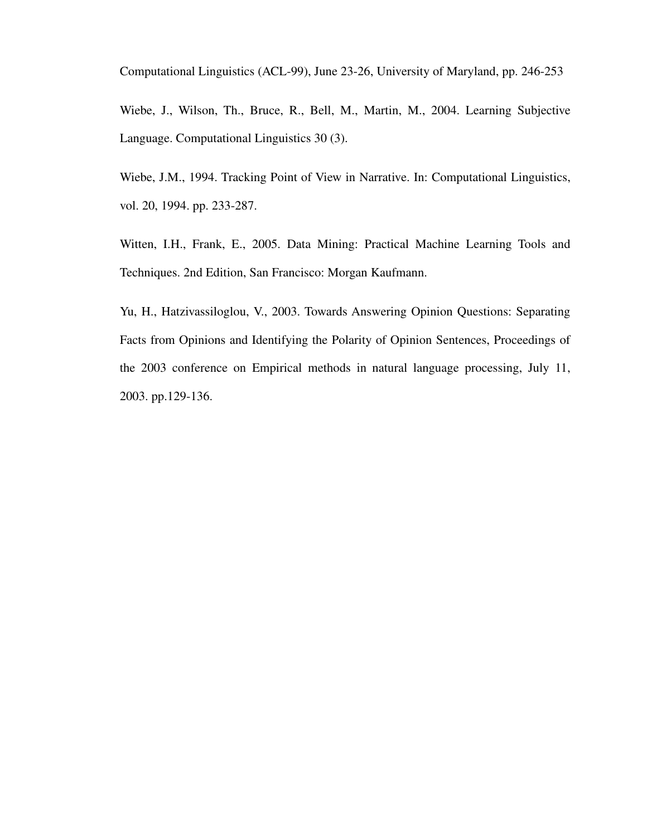Computational Linguistics (ACL-99), June 23-26, University of Maryland, pp. 246-253

Wiebe, J., Wilson, Th., Bruce, R., Bell, M., Martin, M., 2004. Learning Subjective Language. Computational Linguistics 30 (3).

Wiebe, J.M., 1994. Tracking Point of View in Narrative. In: Computational Linguistics, vol. 20, 1994. pp. 233-287.

Witten, I.H., Frank, E., 2005. Data Mining: Practical Machine Learning Tools and Techniques. 2nd Edition, San Francisco: Morgan Kaufmann.

Yu, H., Hatzivassiloglou, V., 2003. Towards Answering Opinion Questions: Separating Facts from Opinions and Identifying the Polarity of Opinion Sentences, Proceedings of the 2003 conference on Empirical methods in natural language processing, July 11, 2003. pp.129-136.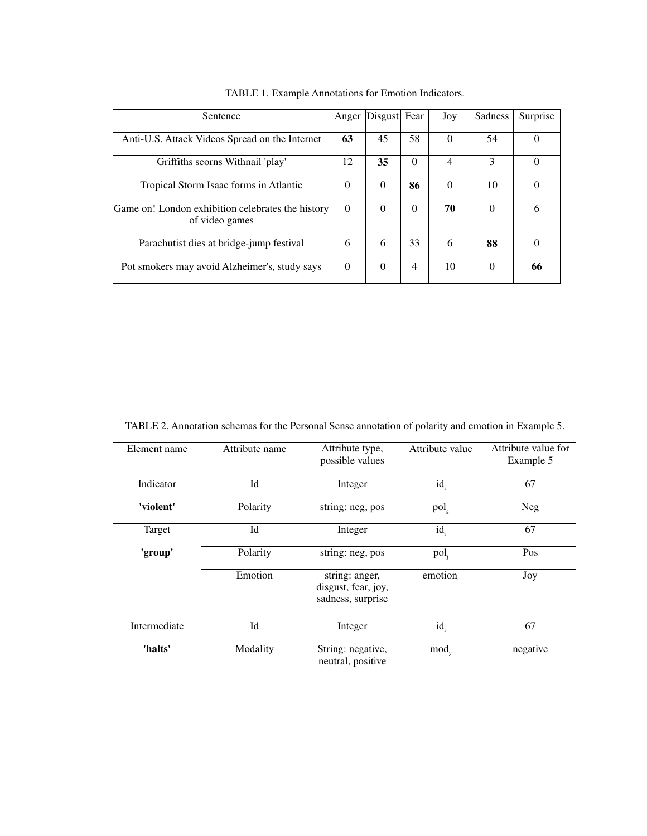| Sentence                                                            | Anger    | Disgust Fear |          | Joy      | <b>Sadness</b> | Surprise |
|---------------------------------------------------------------------|----------|--------------|----------|----------|----------------|----------|
| Anti-U.S. Attack Videos Spread on the Internet                      | 63       | 45           | 58       | $\Omega$ | 54             |          |
| Griffiths scorns Withnail 'play'                                    | 12       | 35           | $\Omega$ | 4        | 3              |          |
| Tropical Storm Isaac forms in Atlantic                              | $\Omega$ | $\Omega$     | 86       | $\Omega$ | 10             |          |
| Game on! London exhibition celebrates the history<br>of video games | $\Omega$ | $\Omega$     | $\Omega$ | 70       | 0              | h        |
| Parachutist dies at bridge-jump festival                            | 6        | 6            | 33       | 6        | 88             |          |
| Pot smokers may avoid Alzheimer's, study says                       | $\Omega$ | $\Omega$     | 4        | 10       | 0              | 66       |

TABLE 1. Example Annotations for Emotion Indicators.

TABLE 2. Annotation schemas for the Personal Sense annotation of polarity and emotion in Example 5.

| Element name | Attribute name | Attribute type,<br>possible values                         | Attribute value  | Attribute value for<br>Example 5 |
|--------------|----------------|------------------------------------------------------------|------------------|----------------------------------|
| Indicator    | Id             | Integer                                                    | $id_i$           | 67                               |
| 'violent'    | Polarity       | string: neg, pos                                           | pol <sub>e</sub> | <b>Neg</b>                       |
| Target       | Id             | Integer                                                    | $id_i$           | 67                               |
| 'group'      | Polarity       | string: neg, pos                                           | pol <sub>i</sub> | Pos                              |
|              | Emotion        | string: anger,<br>disgust, fear, joy,<br>sadness, surprise | emotion.         | Joy                              |
| Intermediate | Id             | Integer                                                    | $id_i$           | 67                               |
| 'halts'      | Modality       | String: negative,<br>neutral, positive                     | $mod_{v}$        | negative                         |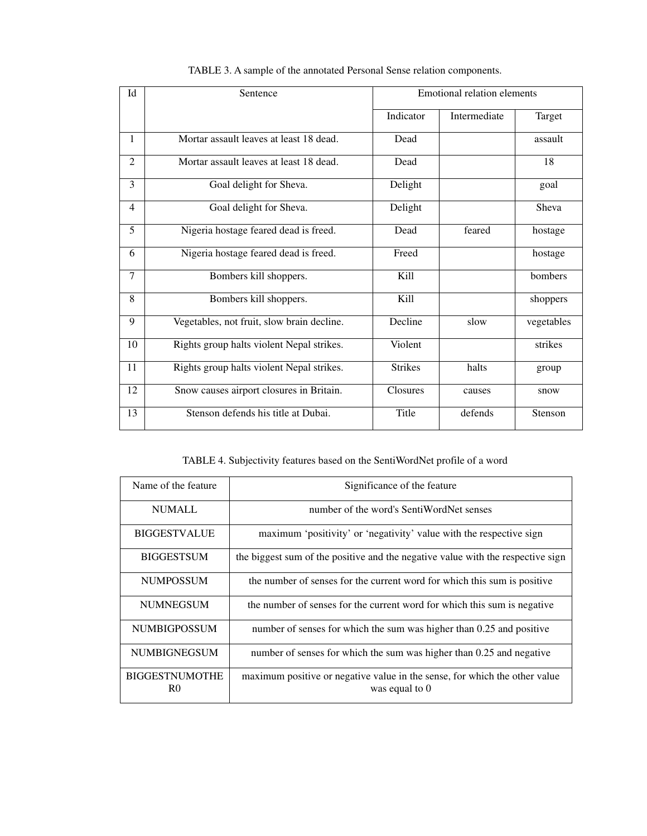| Id             | Sentence                                   | Emotional relation elements |              |            |
|----------------|--------------------------------------------|-----------------------------|--------------|------------|
|                |                                            | Indicator                   | Intermediate | Target     |
| $\mathbf{1}$   | Mortar assault leaves at least 18 dead.    | Dead                        |              | assault    |
| $\overline{2}$ | Mortar assault leaves at least 18 dead.    | Dead                        |              | 18         |
| 3              | Goal delight for Sheva.                    | Delight                     |              | goal       |
| $\overline{4}$ | Goal delight for Sheva.                    | Delight                     |              | Sheva      |
| 5              | Nigeria hostage feared dead is freed.      | Dead                        | feared       | hostage    |
| 6              | Nigeria hostage feared dead is freed.      | Freed                       |              | hostage    |
| $\tau$         | Bombers kill shoppers.                     | Kill                        |              | bombers    |
| 8              | Bombers kill shoppers.                     | Kill                        |              | shoppers   |
| 9              | Vegetables, not fruit, slow brain decline. | Decline                     | slow         | vegetables |
| 10             | Rights group halts violent Nepal strikes.  | Violent                     |              | strikes    |
| 11             | Rights group halts violent Nepal strikes.  | <b>Strikes</b>              | halts        | group      |
| 12             | Snow causes airport closures in Britain.   | Closures                    | causes       | snow       |
| 13             | Stenson defends his title at Dubai.        | Title                       | defends      | Stenson    |

TABLE 3. A sample of the annotated Personal Sense relation components.

TABLE 4. Subjectivity features based on the SentiWordNet profile of a word

| Name of the feature.                    | Significance of the feature                                                                    |
|-----------------------------------------|------------------------------------------------------------------------------------------------|
| <b>NUMALL</b>                           | number of the word's SentiWordNet senses                                                       |
| <b>BIGGESTVALUE</b>                     | maximum 'positivity' or 'negativity' value with the respective sign                            |
| <b>BIGGESTSUM</b>                       | the biggest sum of the positive and the negative value with the respective sign                |
| <b>NUMPOSSUM</b>                        | the number of senses for the current word for which this sum is positive                       |
| <b>NUMNEGSUM</b>                        | the number of senses for the current word for which this sum is negative                       |
| <b>NUMBIGPOSSUM</b>                     | number of senses for which the sum was higher than 0.25 and positive                           |
| <b>NUMBIGNEGSUM</b>                     | number of senses for which the sum was higher than 0.25 and negative                           |
| <b>BIGGESTNUMOTHE</b><br>R <sub>0</sub> | maximum positive or negative value in the sense, for which the other value<br>was equal to $0$ |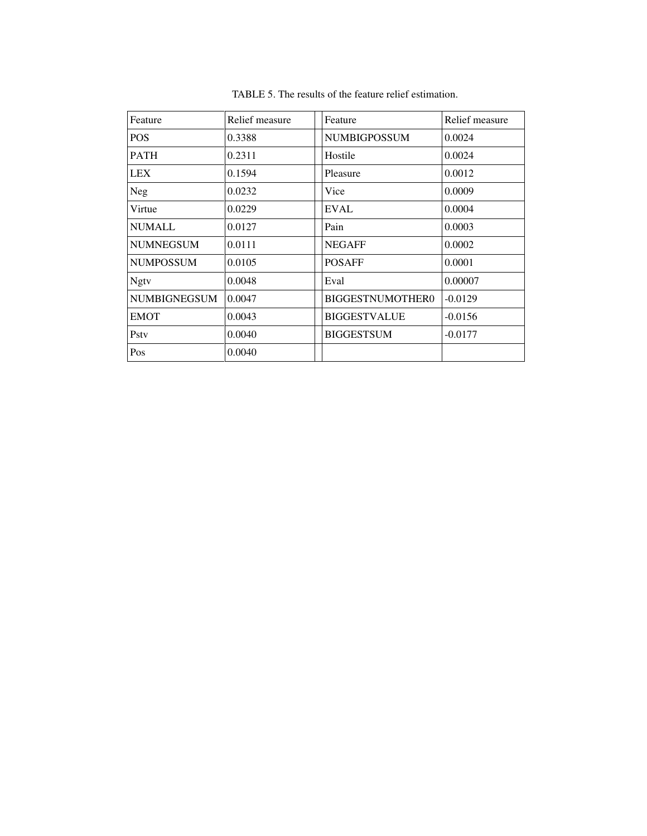| Feature      | Relief measure | Feature                 | Relief measure |
|--------------|----------------|-------------------------|----------------|
| <b>POS</b>   | 0.3388         | <b>NUMBIGPOSSUM</b>     | 0.0024         |
| <b>PATH</b>  | 0.2311         | Hostile                 | 0.0024         |
| <b>LEX</b>   | 0.1594         | Pleasure                | 0.0012         |
| Neg          | 0.0232         | Vice                    | 0.0009         |
| Virtue       | 0.0229         | <b>EVAL</b>             | 0.0004         |
| NUMALL       | 0.0127         | Pain                    | 0.0003         |
| NUMNEGSUM    | 0.0111         | <b>NEGAFF</b>           | 0.0002         |
| NUMPOSSUM    | 0.0105         | <b>POSAFF</b>           | 0.0001         |
| <b>Ngtv</b>  | 0.0048         | Eval                    | 0.00007        |
| NUMBIGNEGSUM | 0.0047         | <b>BIGGESTNUMOTHER0</b> | $-0.0129$      |
| <b>EMOT</b>  | 0.0043         | <b>BIGGESTVALUE</b>     | $-0.0156$      |
| Psty         | 0.0040         | <b>BIGGESTSUM</b>       | $-0.0177$      |
| Pos          | 0.0040         |                         |                |

TABLE 5. The results of the feature relief estimation.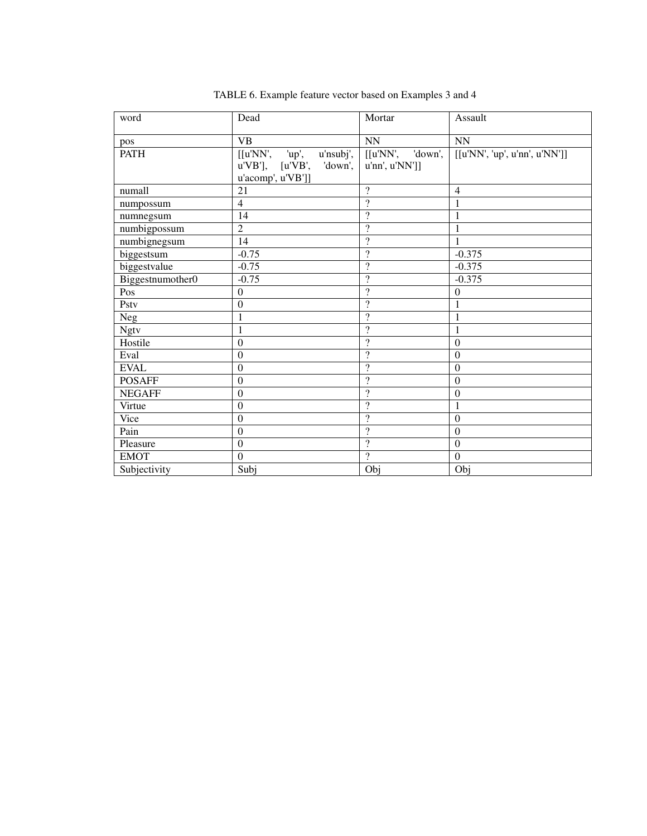| word             | Dead                        | Mortar                   | Assault                       |
|------------------|-----------------------------|--------------------------|-------------------------------|
| pos              | <b>VB</b>                   | NN                       | <b>NN</b>                     |
| <b>PATH</b>      | [[u'NN', up',<br>u'nsubj',  | 'down',<br>[[u'NN',      | [[u'NN', 'up', u'nn', u'NN']] |
|                  | $u'VB$ ], $[u'VB', 'down',$ | u'nn', u'NN']            |                               |
|                  | u'acomp', u'VB']]           |                          |                               |
| numall           | 21                          | $\gamma$                 | $\overline{4}$                |
| numpossum        | $\overline{4}$              | $\gamma$                 | 1                             |
| numnegsum        | 14                          | $\overline{?}$           | $\mathbf{1}$                  |
| numbigpossum     | $\overline{2}$              | $\overline{\mathcal{L}}$ | 1                             |
| numbignegsum     | 14                          | $\overline{\mathcal{L}}$ | $\mathbf{1}$                  |
| biggestsum       | $-0.75$                     | $\gamma$                 | $-0.375$                      |
| biggestvalue     | $-0.75$                     | $\overline{\cdot}$       | $-0.375$                      |
| Biggestnumother0 | $-0.75$                     | $\gamma$                 | $-0.375$                      |
| Pos              | $\Omega$                    | $\overline{?}$           | $\boldsymbol{0}$              |
| Pstv             | $\mathbf{0}$                | $\overline{?}$           | $\mathbf{1}$                  |
| <b>Neg</b>       | 1                           | $\overline{?}$           | $\mathbf{1}$                  |
| <b>Ngtv</b>      | $\mathbf{1}$                | $\overline{\mathcal{L}}$ | $\mathbf{1}$                  |
| Hostile          | $\mathbf{0}$                | $\gamma$                 | $\boldsymbol{0}$              |
| Eval             | $\boldsymbol{0}$            | $\overline{\cdot}$       | $\boldsymbol{0}$              |
| <b>EVAL</b>      | $\overline{0}$              | $\gamma$                 | $\boldsymbol{0}$              |
| <b>POSAFF</b>    | $\Omega$                    | $\gamma$                 | $\overline{0}$                |
| <b>NEGAFF</b>    | $\boldsymbol{0}$            | $\overline{\mathcal{L}}$ | $\boldsymbol{0}$              |
| Virtue           | $\boldsymbol{0}$            | $\overline{?}$           | $\mathbf{1}$                  |
| Vice             | $\boldsymbol{0}$            | $\overline{\mathcal{L}}$ | $\mathbf{0}$                  |
| Pain             | $\boldsymbol{0}$            | $\gamma$                 | $\boldsymbol{0}$              |
| Pleasure         | $\boldsymbol{0}$            | $\overline{\mathcal{L}}$ | $\boldsymbol{0}$              |
| <b>EMOT</b>      | $\overline{0}$              | $\overline{?}$           | $\mathbf{0}$                  |
| Subjectivity     | Subj                        | Obj                      | Obj                           |

TABLE 6. Example feature vector based on Examples 3 and 4